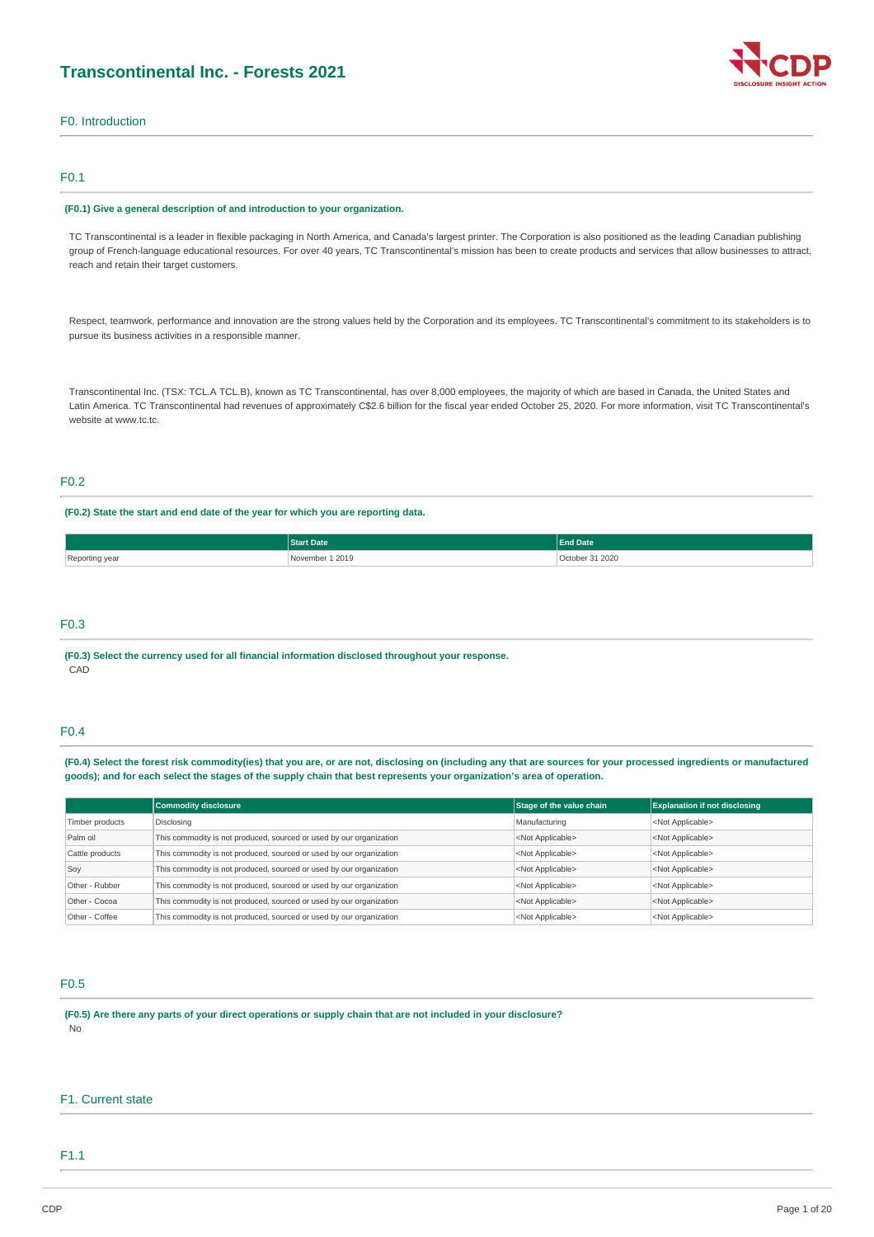## **Transcontinental Inc. - Forests 2021**



F0. Introduction

## F0.1

### **(F0.1) Give a general description of and introduction to your organization.**

TC Transcontinental is a leader in flexible packaging in North America, and Canada's largest printer. The Corporation is also positioned as the leading Canadian publishing group of French-language educational resources. For over 40 years, TC Transcontinental's mission has been to create products and services that allow businesses to attract, reach and retain their target customers.

Respect, teamwork, performance and innovation are the strong values held by the Corporation and its employees. TC Transcontinental's commitment to its stakeholders is to pursue its business activities in a responsible manner.

Transcontinental Inc. (TSX: TCL.A TCL.B), known as TC Transcontinental, has over 8,000 employees, the majority of which are based in Canada, the United States and Latin America. TC Transcontinental had revenues of approximately C\$2.6 billion for the fiscal year ended October 25, 2020. For more information, visit TC Transcontinental's website at www.tc.tc.

## F0.2

## **(F0.2) State the start and end date of the year for which you are reporting data.**

|                | <b>Start Date</b>   | <b>End Date</b> |  |
|----------------|---------------------|-----------------|--|
| Reporting year | 1 2019<br>November: | October 31 2020 |  |

## F0.3

**(F0.3) Select the currency used for all financial information disclosed throughout your response.** CAD

## F0.4

(F0.4) Select the forest risk commodity(ies) that you are, or are not, disclosing on (including any that are sources for your processed ingredients or manufactured goods); and for each select the stages of the supply chain that best represents your organization's area of operation.

|                 | <b>Commodity disclosure</b>                                         | Stage of the value chain  | <b>Explanation if not disclosing</b> |
|-----------------|---------------------------------------------------------------------|---------------------------|--------------------------------------|
| Timber products | Disclosing                                                          | Manufacturing             | <not applicable=""></not>            |
| Palm oil        | This commodity is not produced, sourced or used by our organization | <not applicable=""></not> | <not applicable=""></not>            |
| Cattle products | This commodity is not produced, sourced or used by our organization | <not applicable=""></not> | <not applicable=""></not>            |
| Soy             | This commodity is not produced, sourced or used by our organization | <not applicable=""></not> | <not applicable=""></not>            |
| Other - Rubber  | This commodity is not produced, sourced or used by our organization | <not applicable=""></not> | <not applicable=""></not>            |
| Other - Cocoa   | This commodity is not produced, sourced or used by our organization | <not applicable=""></not> | <not applicable=""></not>            |
| Other - Coffee  | This commodity is not produced, sourced or used by our organization | <not applicable=""></not> | <not applicable=""></not>            |

### F0.5

(F0.5) Are there any parts of your direct operations or supply chain that are not included in your disclosure? No

### F1. Current state

## F1.1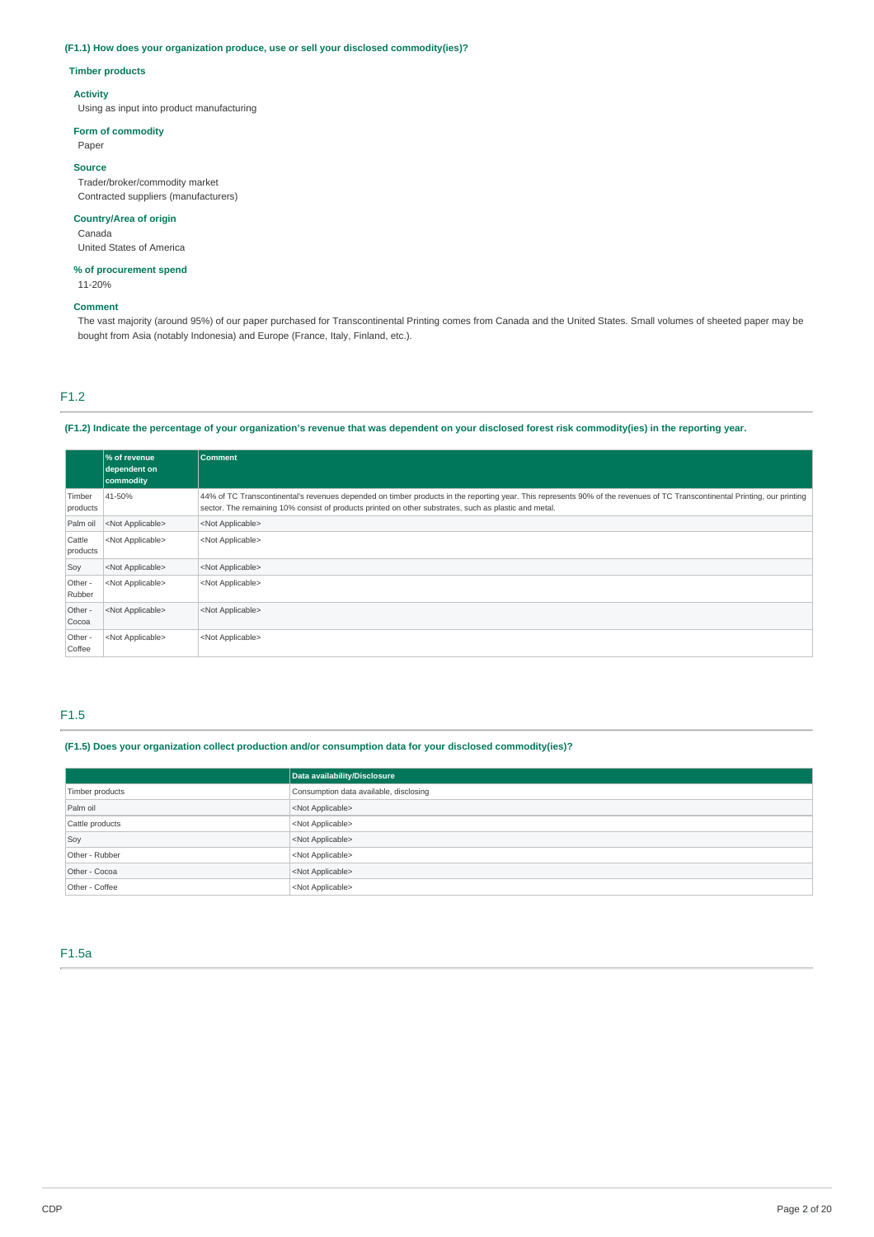## **(F1.1) How does your organization produce, use or sell your disclosed commodity(ies)?**

## **Timber products**

### **Activity**

Using as input into product manufacturing

### **Form of commodity**

Paper

## **Source**

Trader/broker/commodity market Contracted suppliers (manufacturers)

## **Country/Area of origin**

Canada United States of America

## **% of procurement spend**

11-20%

## **Comment**

The vast majority (around 95%) of our paper purchased for Transcontinental Printing comes from Canada and the United States. Small volumes of sheeted paper may be bought from Asia (notably Indonesia) and Europe (France, Italy, Finland, etc.).

## F1.2

## (F1.2) Indicate the percentage of your organization's revenue that was dependent on your disclosed forest risk commodity(ies) in the reporting year.

|                    | % of revenue<br>dependent on<br>commodity | <b>Comment</b>                                                                                                                                                                                                                                                                      |
|--------------------|-------------------------------------------|-------------------------------------------------------------------------------------------------------------------------------------------------------------------------------------------------------------------------------------------------------------------------------------|
| Timber<br>products | 41-50%                                    | 44% of TC Transcontinental's revenues depended on timber products in the reporting year. This represents 90% of the revenues of TC Transcontinental Printing, our printing<br>sector. The remaining 10% consist of products printed on other substrates, such as plastic and metal. |
| Palm oil           | <not applicable=""></not>                 | <not applicable=""></not>                                                                                                                                                                                                                                                           |
| Cattle<br>products | <not applicable=""></not>                 | <not applicable=""></not>                                                                                                                                                                                                                                                           |
| Soy                | <not applicable=""></not>                 | <not applicable=""></not>                                                                                                                                                                                                                                                           |
| Other -<br>Rubber  | <not applicable=""></not>                 | <not applicable=""></not>                                                                                                                                                                                                                                                           |
| Other -<br>Cocoa   | <not applicable=""></not>                 | <not applicable=""></not>                                                                                                                                                                                                                                                           |
| Other -<br>Coffee  | <not applicable=""></not>                 | <not applicable=""></not>                                                                                                                                                                                                                                                           |

## F1.5

## **(F1.5) Does your organization collect production and/or consumption data for your disclosed commodity(ies)?**

|                 | Data availability/Disclosure           |  |
|-----------------|----------------------------------------|--|
| Timber products | Consumption data available, disclosing |  |
| Palm oil        | <not applicable=""></not>              |  |
| Cattle products | <not applicable=""></not>              |  |
| Soy             | <not applicable=""></not>              |  |
| Other - Rubber  | <not applicable=""></not>              |  |
| Other - Cocoa   | <not applicable=""></not>              |  |
| Other - Coffee  | <not applicable=""></not>              |  |

## F1.5a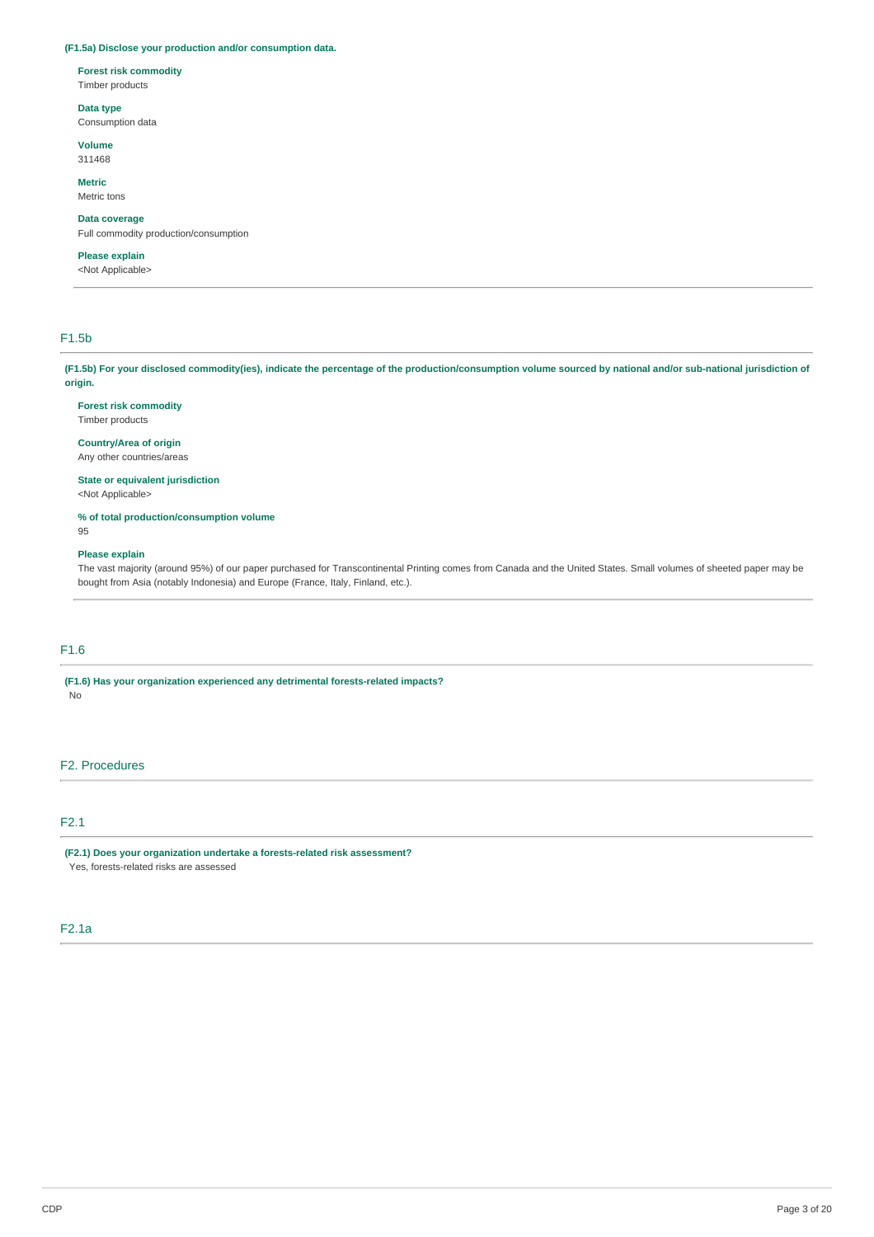## **(F1.5a) Disclose your production and/or consumption data.**

## **Forest risk commodity**

Timber products

### **Data type**

Consumption data

### **Volume**

311468

## **Metric**

Metric tons

## **Data coverage**

Full commodity production/consumption

## **Please explain**

<Not Applicable>

## F1.5b

(F1.5b) For your disclosed commodity(ies), indicate the percentage of the production/consumption volume sourced by national and/or sub-national jurisdiction of **origin.**

### **Forest risk commodity**

Timber products

## **Country/Area of origin**

Any other countries/areas

## **State or equivalent jurisdiction**

<Not Applicable>

**% of total production/consumption volume**

## **Please explain**

95

The vast majority (around 95%) of our paper purchased for Transcontinental Printing comes from Canada and the United States. Small volumes of sheeted paper may be bought from Asia (notably Indonesia) and Europe (France, Italy, Finland, etc.).

## F1.6

**(F1.6) Has your organization experienced any detrimental forests-related impacts?** No

## F2. Procedures

F2.1

**(F2.1) Does your organization undertake a forests-related risk assessment?** Yes, forests-related risks are assessed

## F2.1a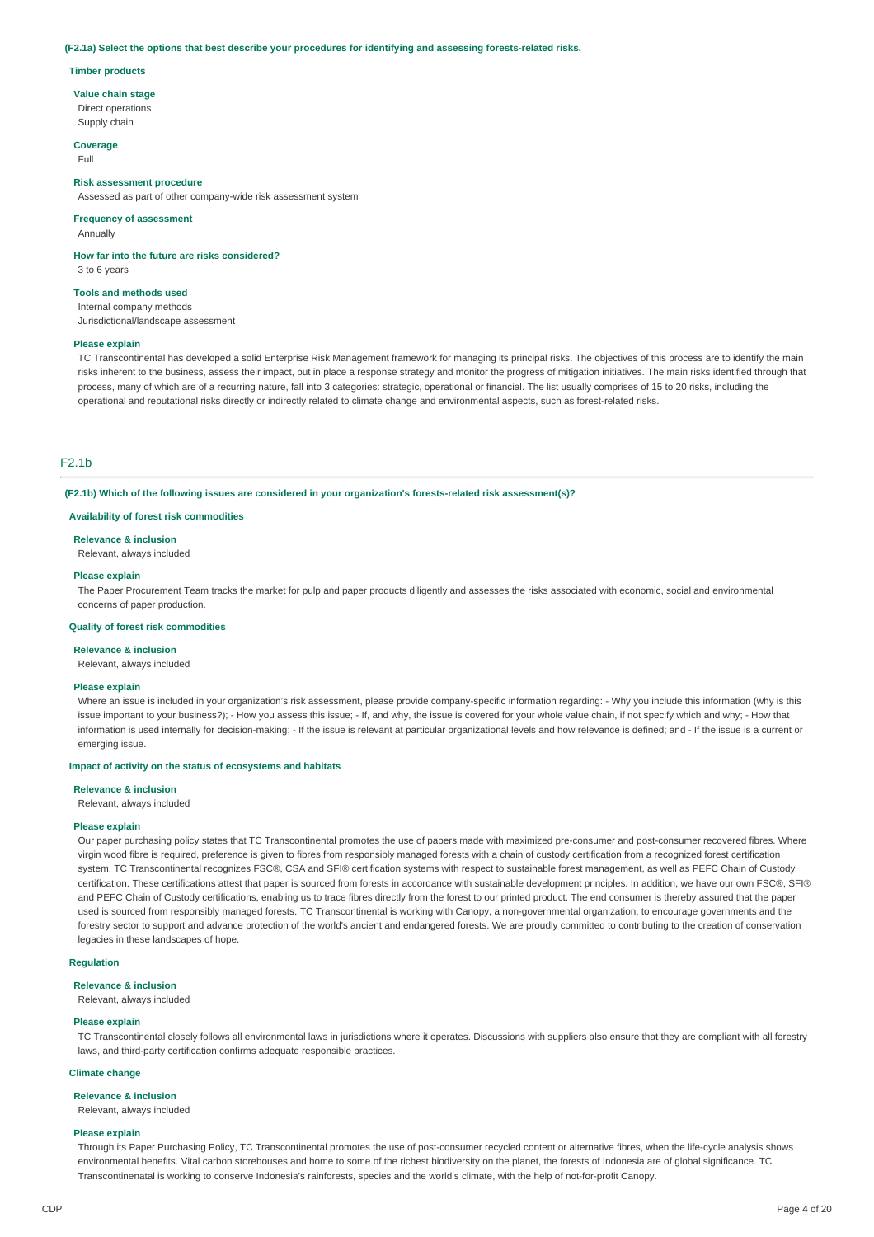### **(F2.1a) Select the options that best describe your procedures for identifying and assessing forests-related risks.**

### **Timber products**

**Value chain stage**

Direct operations Supply chain

**Coverage**

Full

### **Risk assessment procedure**

Assessed as part of other company-wide risk assessment system

### **Frequency of assessment**

Annually

**How far into the future are risks considered?** 3 to 6 years

#### **Tools and methods used**

Internal company methods Jurisdictional/landscape assessment

#### **Please explain**

TC Transcontinental has developed a solid Enterprise Risk Management framework for managing its principal risks. The objectives of this process are to identify the main risks inherent to the business, assess their impact, put in place a response strategy and monitor the progress of mitigation initiatives. The main risks identified through that process, many of which are of a recurring nature, fall into 3 categories: strategic, operational or financial. The list usually comprises of 15 to 20 risks, including the operational and reputational risks directly or indirectly related to climate change and environmental aspects, such as forest-related risks.

### F2.1b

**(F2.1b) Which of the following issues are considered in your organization's forests-related risk assessment(s)?**

#### **Availability of forest risk commodities**

### **Relevance & inclusion**

Relevant, always included

### **Please explain**

The Paper Procurement Team tracks the market for pulp and paper products diligently and assesses the risks associated with economic, social and environmental concerns of paper production.

### **Quality of forest risk commodities**

## **Relevance & inclusion**

Relevant, always included

### **Please explain**

Where an issue is included in your organization's risk assessment, please provide company-specific information regarding: - Why you include this information (why is this issue important to your business?); - How you assess this issue; - If, and why, the issue is covered for your whole value chain, if not specify which and why; - How that information is used internally for decision-making; - If the issue is relevant at particular organizational levels and how relevance is defined; and - If the issue is a current or emerging issue.

### **Impact of activity on the status of ecosystems and habitats**

### **Relevance & inclusion**

Relevant, always included

#### **Please explain**

Our paper purchasing policy states that TC Transcontinental promotes the use of papers made with maximized pre-consumer and post-consumer recovered fibres. Where virgin wood fibre is required, preference is given to fibres from responsibly managed forests with a chain of custody certification from a recognized forest certification system. TC Transcontinental recognizes FSC®, CSA and SFI® certification systems with respect to sustainable forest management, as well as PEFC Chain of Custody certification. These certifications attest that paper is sourced from forests in accordance with sustainable development principles. In addition, we have our own FSC®, SFI® and PEFC Chain of Custody certifications, enabling us to trace fibres directly from the forest to our printed product. The end consumer is thereby assured that the paper used is sourced from responsibly managed forests. TC Transcontinental is working with Canopy, a non-governmental organization, to encourage governments and the forestry sector to support and advance protection of the world's ancient and endangered forests. We are proudly committed to contributing to the creation of conservation legacies in these landscapes of hope.

### **Regulation**

**Relevance & inclusion**

Relevant, always included

### **Please explain**

TC Transcontinental closely follows all environmental laws in jurisdictions where it operates. Discussions with suppliers also ensure that they are compliant with all forestry laws, and third-party certification confirms adequate responsible practices.

#### **Climate change**

#### **Relevance & inclusion**

Relevant, always included

### **Please explain**

Through its Paper Purchasing Policy, TC Transcontinental promotes the use of post-consumer recycled content or alternative fibres, when the life-cycle analysis shows environmental benefits. Vital carbon storehouses and home to some of the richest biodiversity on the planet, the forests of Indonesia are of global significance. TC Transcontinenatal is working to conserve Indonesia's rainforests, species and the world's climate, with the help of not-for-profit Canopy.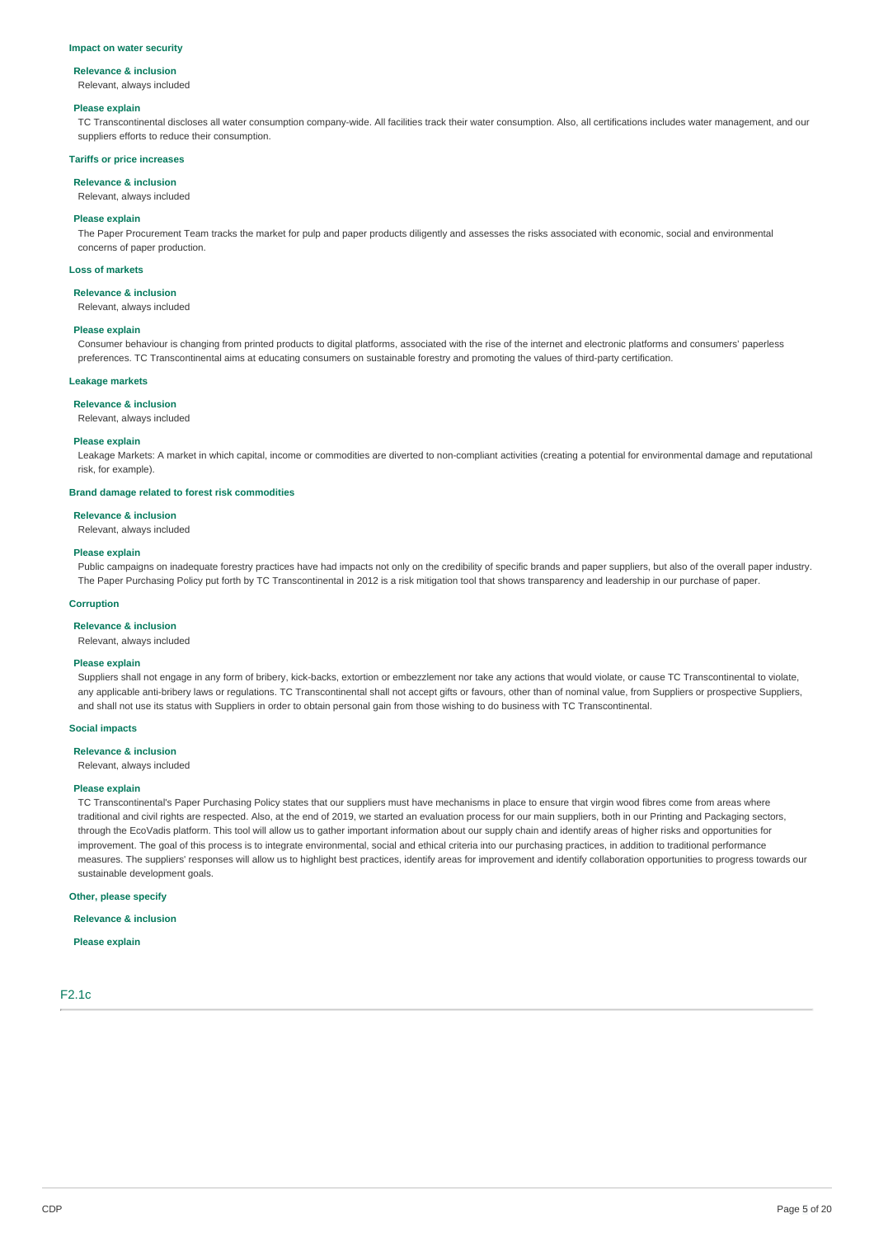### **Impact on water security**

### **Relevance & inclusion**

Relevant, always included

### **Please explain**

TC Transcontinental discloses all water consumption company-wide. All facilities track their water consumption. Also, all certifications includes water management, and our suppliers efforts to reduce their consumption.

### **Tariffs or price increases**

**Relevance & inclusion**

#### Relevant, always included

**Please explain**

The Paper Procurement Team tracks the market for pulp and paper products diligently and assesses the risks associated with economic, social and environmental concerns of paper production.

### **Loss of markets**

### **Relevance & inclusion**

Relevant, always included

### **Please explain**

Consumer behaviour is changing from printed products to digital platforms, associated with the rise of the internet and electronic platforms and consumers' paperless preferences. TC Transcontinental aims at educating consumers on sustainable forestry and promoting the values of third-party certification.

#### **Leakage markets**

#### **Relevance & inclusion**

Relevant, always included

### **Please explain**

Leakage Markets: A market in which capital, income or commodities are diverted to non-compliant activities (creating a potential for environmental damage and reputational risk, for example).

### **Brand damage related to forest risk commodities**

**Relevance & inclusion**

Relevant, always included

### **Please explain**

Public campaigns on inadequate forestry practices have had impacts not only on the credibility of specific brands and paper suppliers, but also of the overall paper industry. The Paper Purchasing Policy put forth by TC Transcontinental in 2012 is a risk mitigation tool that shows transparency and leadership in our purchase of paper.

### **Corruption**

**Relevance & inclusion**

### Relevant, always included

### **Please explain**

Suppliers shall not engage in any form of bribery, kick-backs, extortion or embezzlement nor take any actions that would violate, or cause TC Transcontinental to violate, any applicable anti-bribery laws or regulations. TC Transcontinental shall not accept gifts or favours, other than of nominal value, from Suppliers or prospective Suppliers, and shall not use its status with Suppliers in order to obtain personal gain from those wishing to do business with TC Transcontinental.

### **Social impacts**

**Relevance & inclusion**

Relevant, always included

### **Please explain**

TC Transcontinental's Paper Purchasing Policy states that our suppliers must have mechanisms in place to ensure that virgin wood fibres come from areas where traditional and civil rights are respected. Also, at the end of 2019, we started an evaluation process for our main suppliers, both in our Printing and Packaging sectors, through the EcoVadis platform. This tool will allow us to gather important information about our supply chain and identify areas of higher risks and opportunities for improvement. The goal of this process is to integrate environmental, social and ethical criteria into our purchasing practices, in addition to traditional performance measures. The suppliers' responses will allow us to highlight best practices, identify areas for improvement and identify collaboration opportunities to progress towards our sustainable development goals.

## **Other, please specify**

**Relevance & inclusion**

## **Please explain**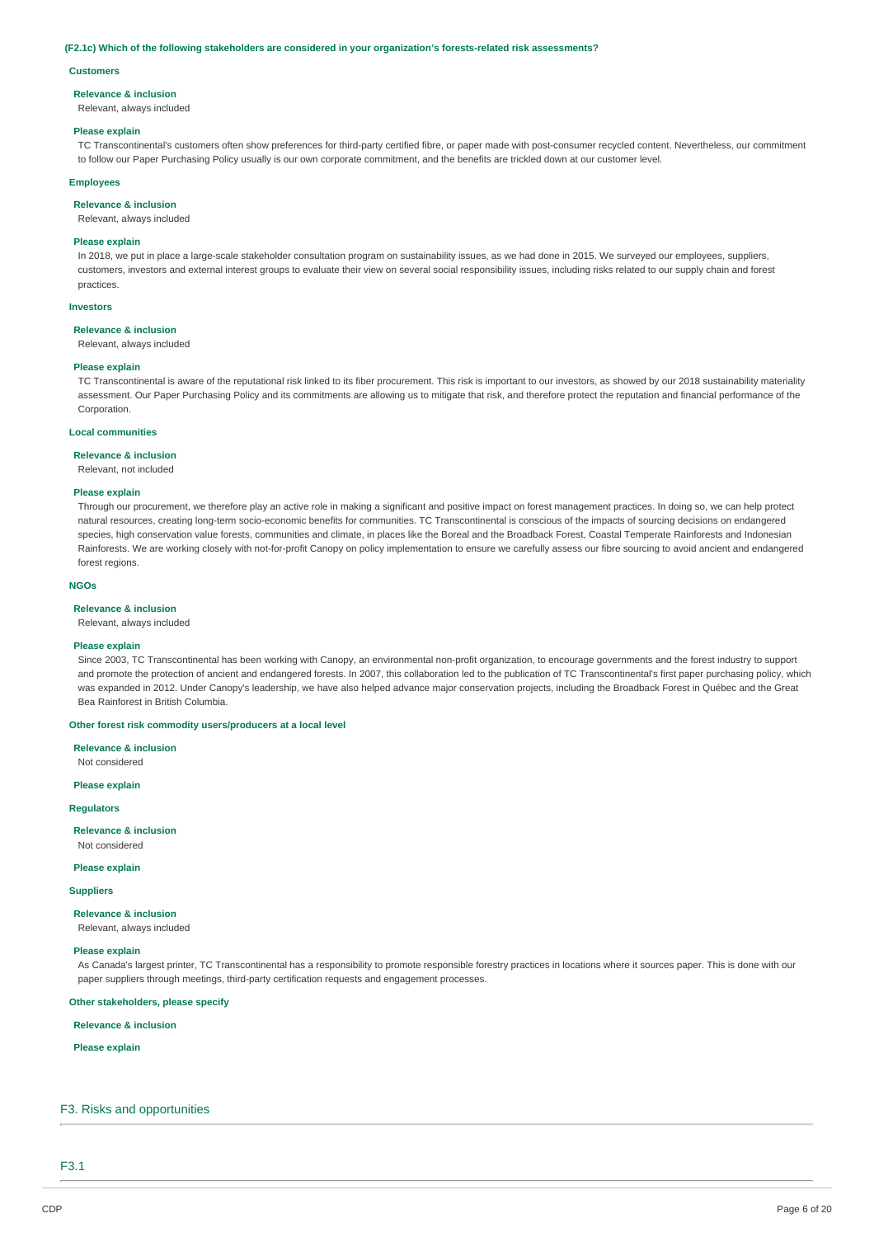### **(F2.1c) Which of the following stakeholders are considered in your organization's forests-related risk assessments?**

### **Customers**

#### **Relevance & inclusion**

Relevant, always included

### **Please explain**

TC Transcontinental's customers often show preferences for third-party certified fibre, or paper made with post-consumer recycled content. Nevertheless, our commitment to follow our Paper Purchasing Policy usually is our own corporate commitment, and the benefits are trickled down at our customer level.

### **Employees**

## **Relevance & inclusion**

Relevant, always included

### **Please explain**

In 2018, we put in place a large-scale stakeholder consultation program on sustainability issues, as we had done in 2015. We surveyed our employees, suppliers, customers, investors and external interest groups to evaluate their view on several social responsibility issues, including risks related to our supply chain and forest practices.

#### **Investors**

### **Relevance & inclusion**

Relevant, always included

### **Please explain**

TC Transcontinental is aware of the reputational risk linked to its fiber procurement. This risk is important to our investors, as showed by our 2018 sustainability materiality assessment. Our Paper Purchasing Policy and its commitments are allowing us to mitigate that risk, and therefore protect the reputation and financial performance of the Corporation.

### **Local communities**

#### **Relevance & inclusion**

Relevant, not included

### **Please explain**

Through our procurement, we therefore play an active role in making a significant and positive impact on forest management practices. In doing so, we can help protect natural resources, creating long-term socio-economic benefits for communities. TC Transcontinental is conscious of the impacts of sourcing decisions on endangered species, high conservation value forests, communities and climate, in places like the Boreal and the Broadback Forest, Coastal Temperate Rainforests and Indonesian Rainforests. We are working closely with not-for-profit Canopy on policy implementation to ensure we carefully assess our fibre sourcing to avoid ancient and endangered forest regions.

### **NGOs**

### **Relevance & inclusion**

Relevant, always included

### **Please explain**

Since 2003, TC Transcontinental has been working with Canopy, an environmental non-profit organization, to encourage governments and the forest industry to support and promote the protection of ancient and endangered forests. In 2007, this collaboration led to the publication of TC Transcontinental's first paper purchasing policy, which was expanded in 2012. Under Canopy's leadership, we have also helped advance major conservation projects, including the Broadback Forest in Québec and the Great Bea Rainforest in British Columbia.

### **Other forest risk commodity users/producers at a local level**

**Relevance & inclusion**

Not considered

## **Please explain**

**Regulators**

**Relevance & inclusion** Not considered

#### **Please explain**

**Suppliers**

### **Relevance & inclusion**

Relevant, always included

#### **Please explain**

As Canada's largest printer, TC Transcontinental has a responsibility to promote responsible forestry practices in locations where it sources paper. This is done with our paper suppliers through meetings, third-party certification requests and engagement processes.

### **Other stakeholders, please specify**

**Relevance & inclusion**

### **Please explain**

### F3. Risks and opportunities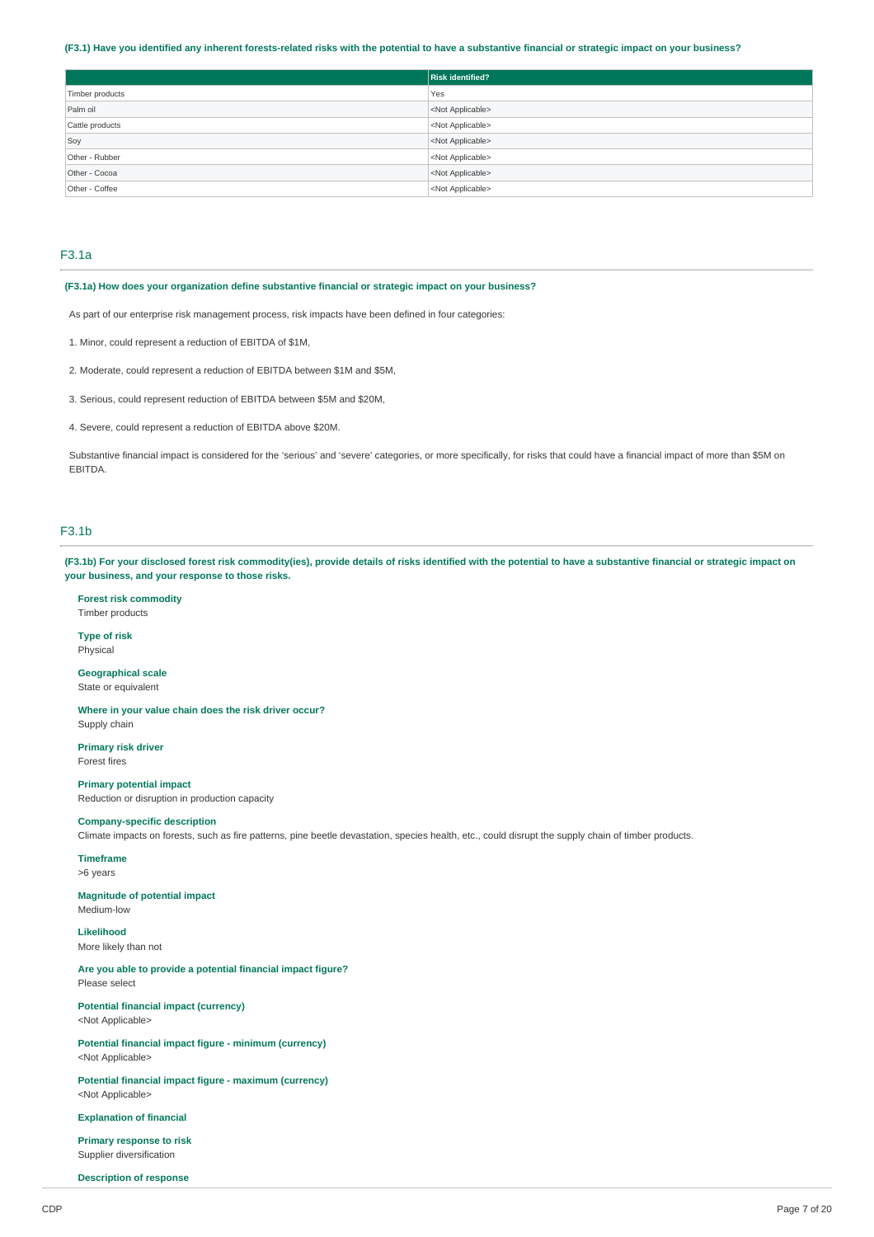### (F3.1) Have you identified any inherent forests-related risks with the potential to have a substantive financial or strategic impact on your business?

|                 | <b>Risk identified?</b>   |
|-----------------|---------------------------|
| Timber products | Yes                       |
| Palm oil        | <not applicable=""></not> |
| Cattle products | <not applicable=""></not> |
| Soy             | <not applicable=""></not> |
| Other - Rubber  | <not applicable=""></not> |
| Other - Cocoa   | <not applicable=""></not> |
| Other - Coffee  | <not applicable=""></not> |

## F3.1a

### **(F3.1a) How does your organization define substantive financial or strategic impact on your business?**

As part of our enterprise risk management process, risk impacts have been defined in four categories:

- 1. Minor, could represent a reduction of EBITDA of \$1M,
- 2. Moderate, could represent a reduction of EBITDA between \$1M and \$5M,
- 3. Serious, could represent reduction of EBITDA between \$5M and \$20M,
- 4. Severe, could represent a reduction of EBITDA above \$20M.

Substantive financial impact is considered for the 'serious' and 'severe' categories, or more specifically, for risks that could have a financial impact of more than \$5M on EBITDA.

## F3.1b

(F3.1b) For your disclosed forest risk commodity(ies), provide details of risks identified with the potential to have a substantive financial or strategic impact on **your business, and your response to those risks.**

**Forest risk commodity** Timber products

**Type of risk** Physical

**Geographical scale** State or equivalent

**Where in your value chain does the risk driver occur?** Supply chain

**Primary risk driver** Forest fires

**Primary potential impact** Reduction or disruption in production capacity

## **Company-specific description**

Climate impacts on forests, such as fire patterns, pine beetle devastation, species health, etc., could disrupt the supply chain of timber products.

**Timeframe** >6 years

**Magnitude of potential impact**

Medium-low

**Likelihood** More likely than not

**Are you able to provide a potential financial impact figure?** Please select

**Potential financial impact (currency)** <Not Applicable>

**Potential financial impact figure - minimum (currency)** <Not Applicable>

**Potential financial impact figure - maximum (currency)** <Not Applicable>

**Explanation of financial**

**Primary response to risk** Supplier diversification

**Description of response**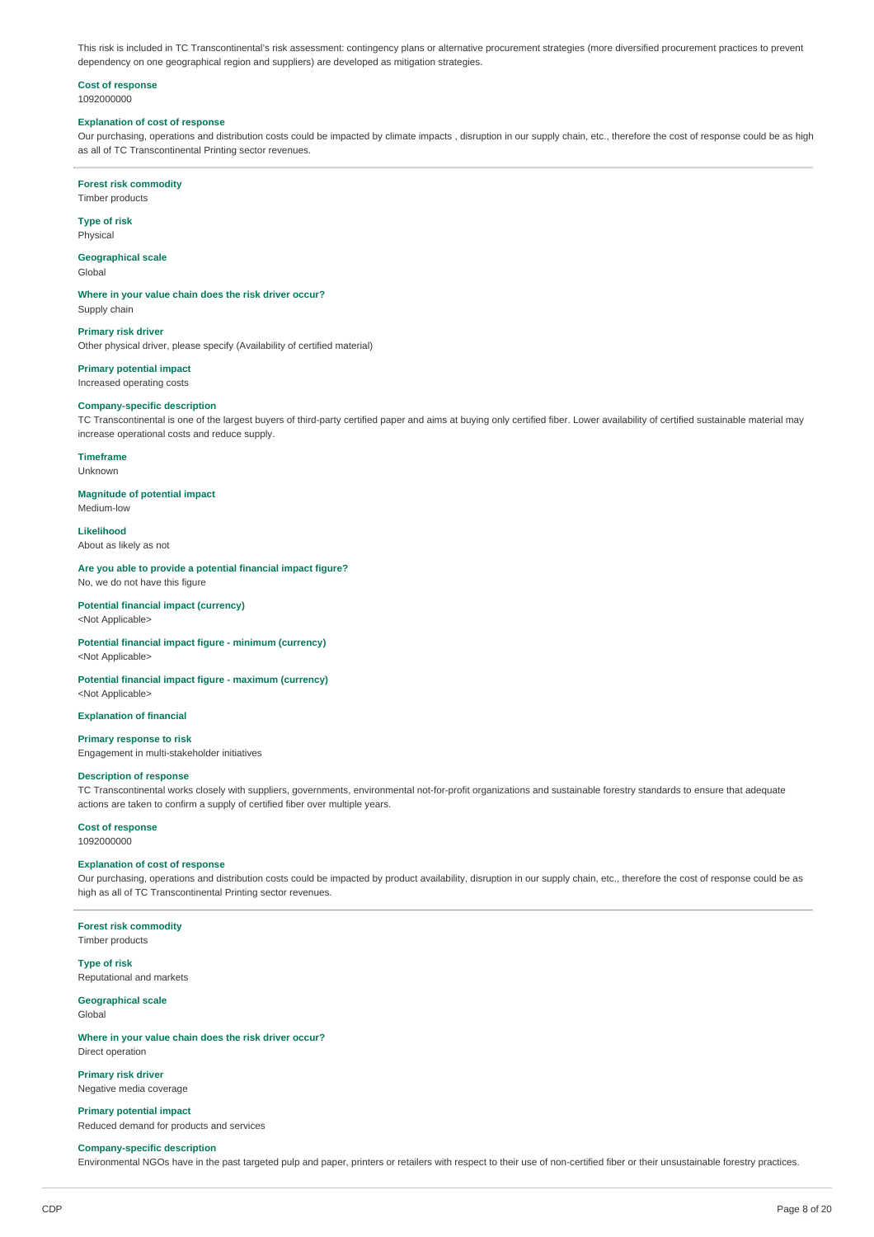This risk is included in TC Transcontinental's risk assessment: contingency plans or alternative procurement strategies (more diversified procurement practices to prevent dependency on one geographical region and suppliers) are developed as mitigation strategies.

### **Cost of response** 1092000000

## **Explanation of cost of response**

Our purchasing, operations and distribution costs could be impacted by climate impacts , disruption in our supply chain, etc., therefore the cost of response could be as high as all of TC Transcontinental Printing sector revenues.

**Forest risk commodity** Timber products

**Type of risk**

Physical

**Geographical scale** Global

**Where in your value chain does the risk driver occur?** Supply chain

**Primary risk driver** Other physical driver, please specify (Availability of certified material)

**Primary potential impact** Increased operating costs

## **Company-specific description**

TC Transcontinental is one of the largest buyers of third-party certified paper and aims at buying only certified fiber. Lower availability of certified sustainable material may increase operational costs and reduce supply.

**Timeframe**

Unknown

**Magnitude of potential impact**

Medium-low **Likelihood**

About as likely as not

**Are you able to provide a potential financial impact figure?** No, we do not have this figure

**Potential financial impact (currency)** <Not Applicable>

**Potential financial impact figure - minimum (currency)** <Not Applicable>

**Potential financial impact figure - maximum (currency)** <Not Applicable>

**Explanation of financial**

**Primary response to risk** Engagement in multi-stakeholder initiatives

### **Description of response**

TC Transcontinental works closely with suppliers, governments, environmental not-for-profit organizations and sustainable forestry standards to ensure that adequate actions are taken to confirm a supply of certified fiber over multiple years.

## **Cost of response**

1092000000

### **Explanation of cost of response**

Our purchasing, operations and distribution costs could be impacted by product availability, disruption in our supply chain, etc., therefore the cost of response could be as high as all of TC Transcontinental Printing sector revenues.

## **Forest risk commodity**

Timber products

**Type of risk** Reputational and markets

#### **Geographical scale** Global

**Where in your value chain does the risk driver occur?** Direct operation

**Primary risk driver** Negative media coverage

**Primary potential impact** Reduced demand for products and services

### **Company-specific description**

Environmental NGOs have in the past targeted pulp and paper, printers or retailers with respect to their use of non-certified fiber or their unsustainable forestry practices.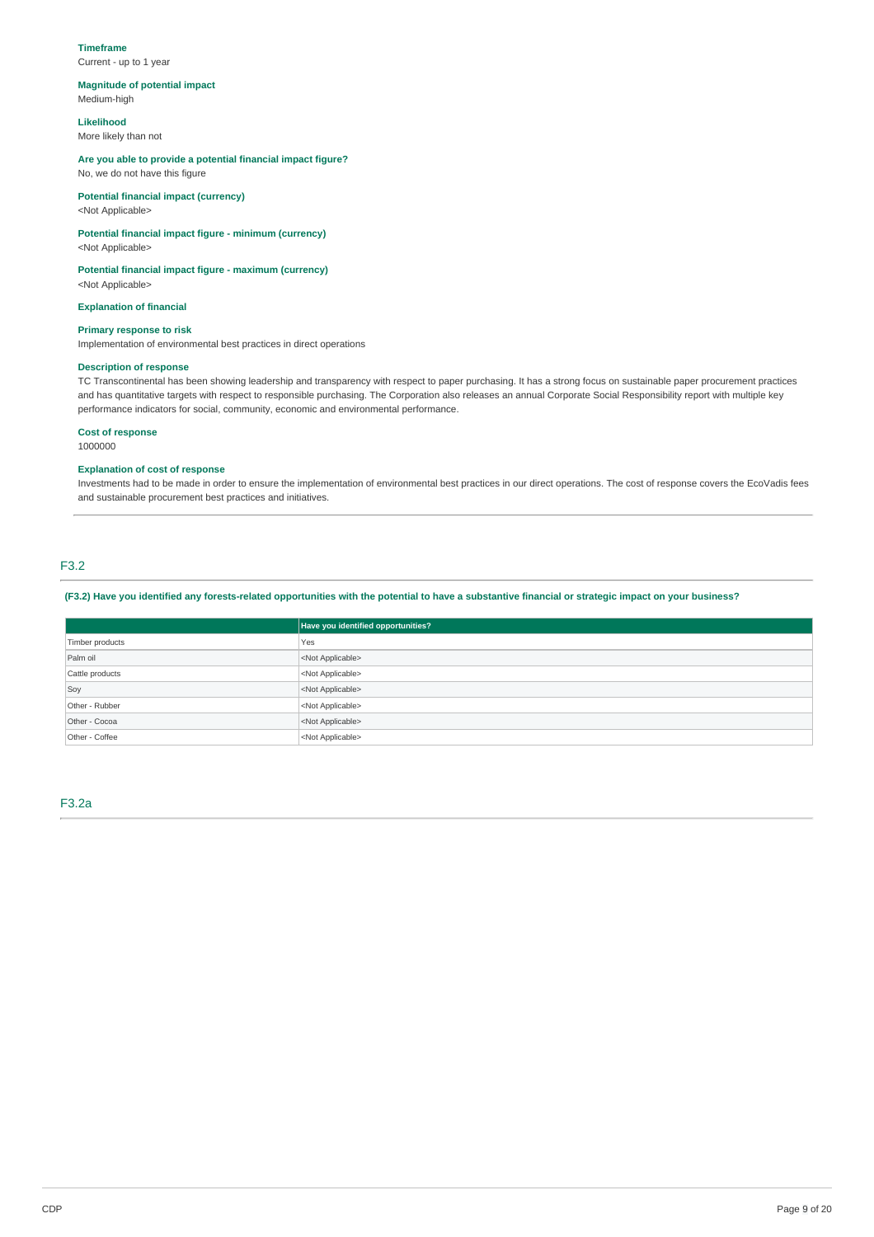### **Timeframe**

Current - up to 1 year

## **Magnitude of potential impact**

Medium-high

## **Likelihood**

More likely than not

### **Are you able to provide a potential financial impact figure?** No, we do not have this figure

## **Potential financial impact (currency)**

<Not Applicable>

## **Potential financial impact figure - minimum (currency)**

<Not Applicable>

## **Potential financial impact figure - maximum (currency)**

<Not Applicable>

## **Explanation of financial**

**Primary response to risk**

Implementation of environmental best practices in direct operations

## **Description of response**

TC Transcontinental has been showing leadership and transparency with respect to paper purchasing. It has a strong focus on sustainable paper procurement practices and has quantitative targets with respect to responsible purchasing. The Corporation also releases an annual Corporate Social Responsibility report with multiple key performance indicators for social, community, economic and environmental performance.

### **Cost of response**

1000000

### **Explanation of cost of response**

Investments had to be made in order to ensure the implementation of environmental best practices in our direct operations. The cost of response covers the EcoVadis fees and sustainable procurement best practices and initiatives.

## F3.2

(F3.2) Have you identified any forests-related opportunities with the potential to have a substantive financial or strategic impact on your business?

|                 | Have you identified opportunities? |  |
|-----------------|------------------------------------|--|
| Timber products | Yes                                |  |
| Palm oil        | <not applicable=""></not>          |  |
| Cattle products | <not applicable=""></not>          |  |
| Soy             | <not applicable=""></not>          |  |
| Other - Rubber  | <not applicable=""></not>          |  |
| Other - Cocoa   | <not applicable=""></not>          |  |
| Other - Coffee  | <not applicable=""></not>          |  |

F3.2a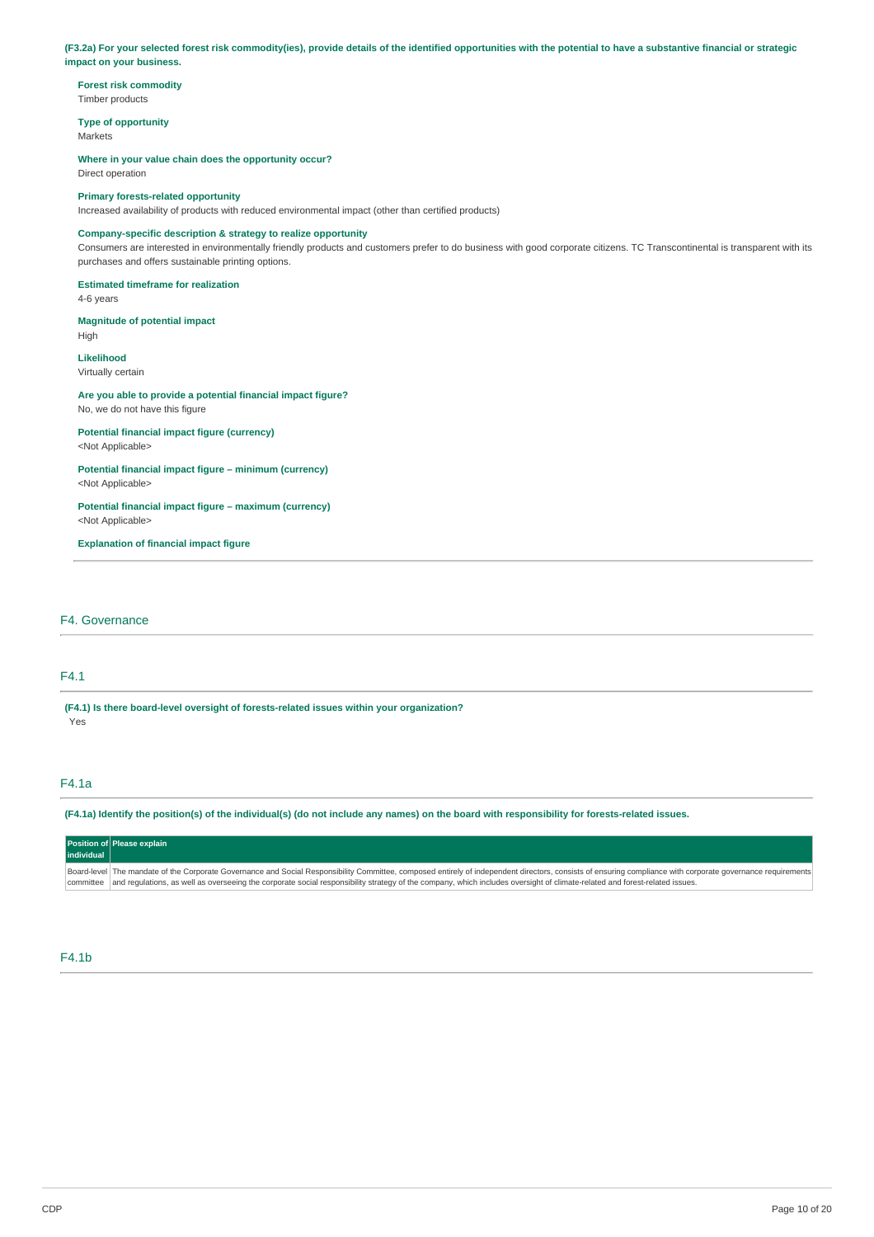(F3.2a) For your selected forest risk commodity(ies), provide details of the identified opportunities with the potential to have a substantive financial or strategic **impact on your business.**

**Forest risk commodity** Timber products

**Type of opportunity Markets** 

**Where in your value chain does the opportunity occur?** Direct operation

## **Primary forests-related opportunity**

Increased availability of products with reduced environmental impact (other than certified products)

## **Company-specific description & strategy to realize opportunity**

Consumers are interested in environmentally friendly products and customers prefer to do business with good corporate citizens. TC Transcontinental is transparent with its purchases and offers sustainable printing options.

## **Estimated timeframe for realization**

4-6 years

### **Magnitude of potential impact** High

**Likelihood** Virtually certain

### **Are you able to provide a potential financial impact figure?** No, we do not have this figure

**Potential financial impact figure (currency)** <Not Applicable>

**Potential financial impact figure – minimum (currency)** <Not Applicable>

### **Potential financial impact figure – maximum (currency)** <Not Applicable>

**Explanation of financial impact figure**

## F4. Governance

## F4.1

**(F4.1) Is there board-level oversight of forests-related issues within your organization?** Yes

## F4.1a

(F4.1a) Identify the position(s) of the individual(s) (do not include any names) on the board with responsibility for forests-related issues.

| individual | Position of Please explain                                                                                                                                                                                                                                                                                                                                                                            |
|------------|-------------------------------------------------------------------------------------------------------------------------------------------------------------------------------------------------------------------------------------------------------------------------------------------------------------------------------------------------------------------------------------------------------|
|            | Board-level   The mandate of the Corporate Governance and Social Responsibility Committee, composed entirely of independent directors, consists of ensuring compliance with corporate governance requirements<br>committee and requlations, as well as overseeing the corporate social responsibility strategy of the company, which includes oversight of climate-related and forest-related issues. |

## F4.1b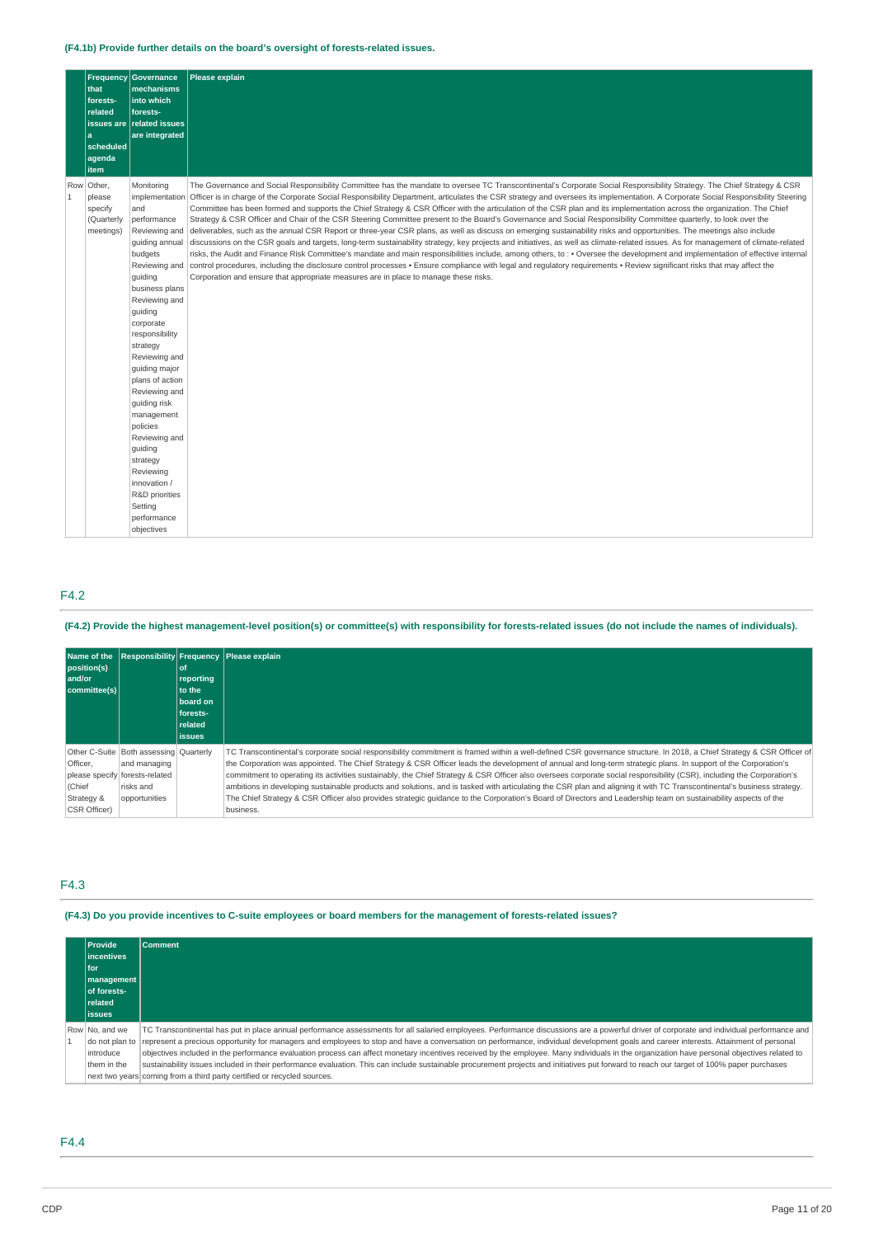## **(F4.1b) Provide further details on the board's oversight of forests-related issues.**

|                | that<br>forests-<br>related<br>a<br>scheduled<br>agenda<br>item | Frequency Governance<br>mechanisms<br>into which<br>forests-<br>issues are related issues<br>are integrated                                                                                                                                                                                                                                                                                                                                                          | <b>Please explain</b>                                                                                                                                                                                                                                                                                                                                                                                                                                                                                                                                                                                                                                                                                                                                                                                                                                                                                                                                                                                                                                                                                                                                                                                                                                                                                                                                                                                                                                                                                                          |
|----------------|-----------------------------------------------------------------|----------------------------------------------------------------------------------------------------------------------------------------------------------------------------------------------------------------------------------------------------------------------------------------------------------------------------------------------------------------------------------------------------------------------------------------------------------------------|--------------------------------------------------------------------------------------------------------------------------------------------------------------------------------------------------------------------------------------------------------------------------------------------------------------------------------------------------------------------------------------------------------------------------------------------------------------------------------------------------------------------------------------------------------------------------------------------------------------------------------------------------------------------------------------------------------------------------------------------------------------------------------------------------------------------------------------------------------------------------------------------------------------------------------------------------------------------------------------------------------------------------------------------------------------------------------------------------------------------------------------------------------------------------------------------------------------------------------------------------------------------------------------------------------------------------------------------------------------------------------------------------------------------------------------------------------------------------------------------------------------------------------|
| $\overline{1}$ | Row Other,<br>please<br>specify<br>(Quarterly<br>meetings)      | Monitoring<br>implementation<br>and<br>performance<br>Reviewing and<br>quiding annual<br>budgets<br>Reviewing and<br>quiding<br>business plans<br>Reviewing and<br>guiding<br>corporate<br>responsibility<br>strategy<br>Reviewing and<br>quiding major<br>plans of action<br>Reviewing and<br>quiding risk<br>management<br>policies<br>Reviewing and<br>guiding<br>strategy<br>Reviewing<br>innovation /<br>R&D priorities<br>Setting<br>performance<br>objectives | The Governance and Social Responsibility Committee has the mandate to oversee TC Transcontinental's Corporate Social Responsibility Strategy. The Chief Strategy & CSR<br>Officer is in charge of the Corporate Social Responsibility Department, articulates the CSR strategy and oversees its implementation. A Corporate Social Responsibility Steering<br>Committee has been formed and supports the Chief Strategy & CSR Officer with the articulation of the CSR plan and its implementation across the organization. The Chief<br>Strategy & CSR Officer and Chair of the CSR Steering Committee present to the Board's Governance and Social Responsibility Committee quarterly, to look over the<br>deliverables, such as the annual CSR Report or three-year CSR plans, as well as discuss on emerging sustainability risks and opportunities. The meetings also include<br>discussions on the CSR goals and targets, long-term sustainability strategy, key projects and initiatives, as well as climate-related issues. As for management of climate-related<br>risks, the Audit and Finance Risk Committee's mandate and main responsibilities include, among others, to : • Oversee the development and implementation of effective internal<br>control procedures, including the disclosure control processes • Ensure compliance with legal and regulatory requirements • Review significant risks that may affect the<br>Corporation and ensure that appropriate measures are in place to manage these risks. |

## F4.2

(F4.2) Provide the highest management-level position(s) or committee(s) with responsibility for forests-related issues (do not include the names of individuals).

| position(s)<br>and/or<br>committee(s)                             |                                                                                                          | ∣of<br>reporting<br>to the<br>board on<br>forests-<br><b>related</b><br><b>issues</b> | Name of the Responsibility Frequency Please explain                                                                                                                                                                                                                                                                                                                                                                                                                                                                                                                                                                                                                                                                                                                                                                                                                       |
|-------------------------------------------------------------------|----------------------------------------------------------------------------------------------------------|---------------------------------------------------------------------------------------|---------------------------------------------------------------------------------------------------------------------------------------------------------------------------------------------------------------------------------------------------------------------------------------------------------------------------------------------------------------------------------------------------------------------------------------------------------------------------------------------------------------------------------------------------------------------------------------------------------------------------------------------------------------------------------------------------------------------------------------------------------------------------------------------------------------------------------------------------------------------------|
| Other C-Suite<br>Officer.<br>(Chief<br>Strategy &<br>CSR Officer) | Both assessing Ouarterly<br>and managing<br>please specify forests-related<br>risks and<br>opportunities |                                                                                       | TC Transcontinental's corporate social responsibility commitment is framed within a well-defined CSR governance structure. In 2018, a Chief Strategy & CSR Officer of<br>the Corporation was appointed. The Chief Strategy & CSR Officer leads the development of annual and long-term strategic plans. In support of the Corporation's<br>commitment to operating its activities sustainably, the Chief Strategy & CSR Officer also oversees corporate social responsibility (CSR), including the Corporation's<br>ambitions in developing sustainable products and solutions, and is tasked with articulating the CSR plan and aligning it with TC Transcontinental's business strategy.<br>The Chief Strategy & CSR Officer also provides strategic quidance to the Corporation's Board of Directors and Leadership team on sustainability aspects of the<br>business. |

## F4.3

(F4.3) Do you provide incentives to C-suite employees or board members for the management of forests-related issues?

| <b>Provide</b><br><b>lincentives</b><br>l for | <b>Comment</b>                                                                                                                                                                                       |
|-----------------------------------------------|------------------------------------------------------------------------------------------------------------------------------------------------------------------------------------------------------|
| management                                    |                                                                                                                                                                                                      |
| of forests-                                   |                                                                                                                                                                                                      |
| <b>related</b>                                |                                                                                                                                                                                                      |
| l issues                                      |                                                                                                                                                                                                      |
| Row No. and we                                | TC Transcontinental has put in place annual performance assessments for all salaried employees. Performance discussions are a powerful driver of corporate and individual performance and            |
|                                               | do not plan to represent a precious opportunity for managers and employees to stop and have a conversation on performance, individual development goals and career interests. Attainment of personal |
| introduce                                     | objectives included in the performance evaluation process can affect monetary incentives received by the employee. Many individuals in the organization have personal objectives related to          |
| them in the                                   | sustainability issues included in their performance evaluation. This can include sustainable procurement projects and initiatives put forward to reach our target of 100% paper purchases            |
|                                               | next two years coming from a third party certified or recycled sources.                                                                                                                              |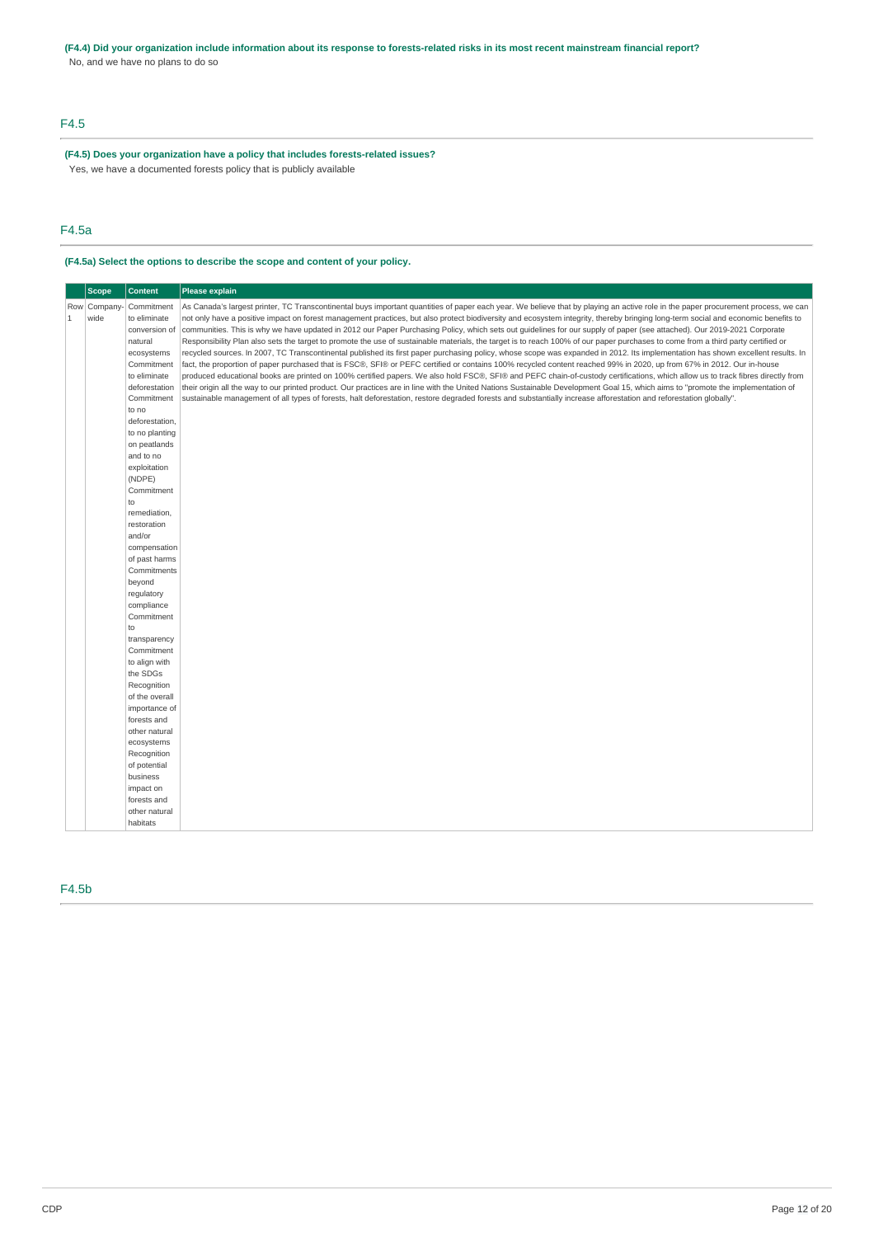## (F4.4) Did your organization include information about its response to forests-related risks in its most recent mainstream financial report?

No, and we have no plans to do so

## F4.5

**(F4.5) Does your organization have a policy that includes forests-related issues?** Yes, we have a documented forests policy that is publicly available

## F4.5a

## **(F4.5a) Select the options to describe the scope and content of your policy.**

## F4.5b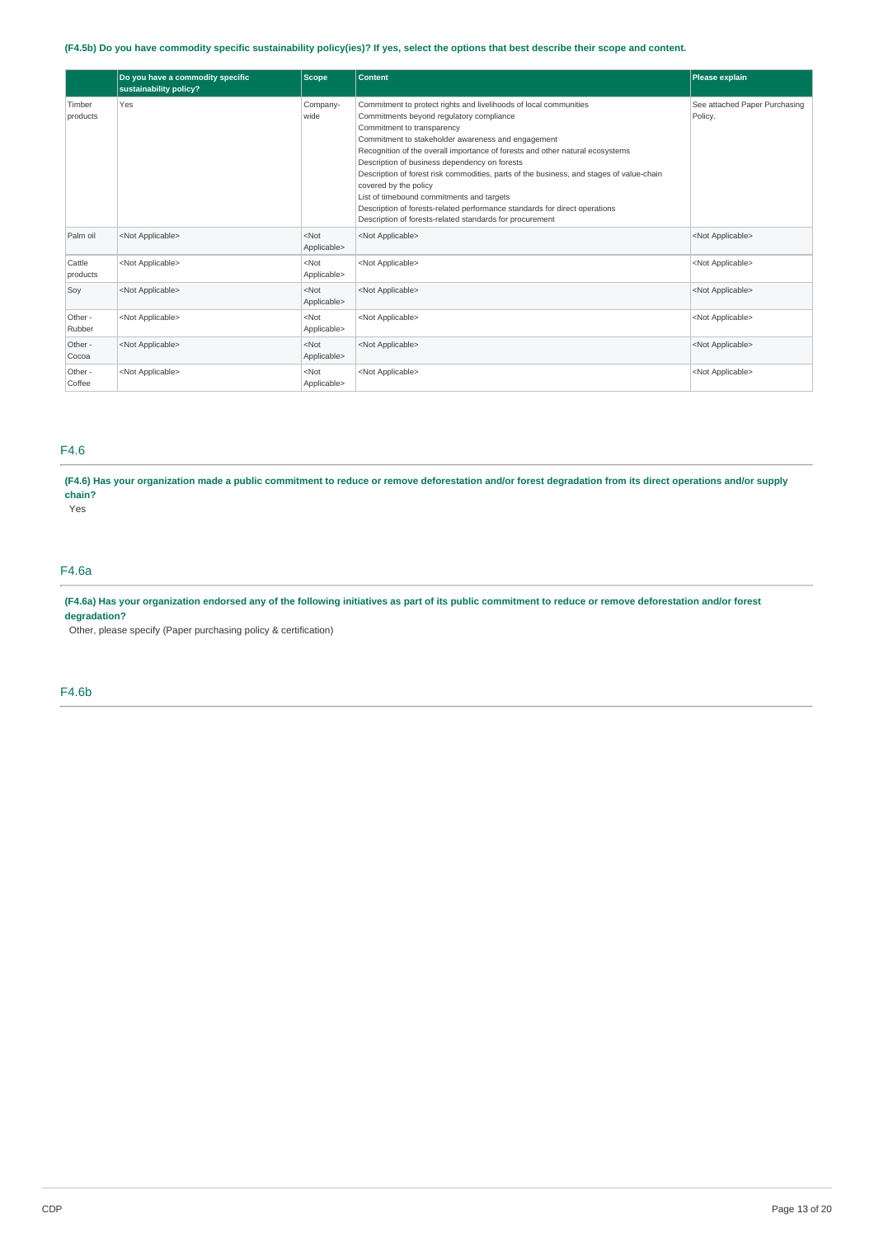## (F4.5b) Do you have commodity specific sustainability policy(ies)? If yes, select the options that best describe their scope and content.

|                    | Do you have a commodity specific<br>sustainability policy? | <b>Scope</b>           | <b>Content</b>                                                                                                                                                                                                                                                                                                                                                                                                                                                                                                                                                                                                                                  | Please explain                           |
|--------------------|------------------------------------------------------------|------------------------|-------------------------------------------------------------------------------------------------------------------------------------------------------------------------------------------------------------------------------------------------------------------------------------------------------------------------------------------------------------------------------------------------------------------------------------------------------------------------------------------------------------------------------------------------------------------------------------------------------------------------------------------------|------------------------------------------|
| Timber<br>products | Yes                                                        | Company-<br>wide       | Commitment to protect rights and livelihoods of local communities<br>Commitments beyond regulatory compliance<br>Commitment to transparency<br>Commitment to stakeholder awareness and engagement<br>Recognition of the overall importance of forests and other natural ecosystems<br>Description of business dependency on forests<br>Description of forest risk commodities, parts of the business, and stages of value-chain<br>covered by the policy<br>List of timebound commitments and targets<br>Description of forests-related performance standards for direct operations<br>Description of forests-related standards for procurement | See attached Paper Purchasing<br>Policy. |
| Palm oil           | <not applicable=""></not>                                  | $<$ Not<br>Applicable> | <not applicable=""></not>                                                                                                                                                                                                                                                                                                                                                                                                                                                                                                                                                                                                                       | <not applicable=""></not>                |
| Cattle<br>products | <not applicable=""></not>                                  | $<$ Not<br>Applicable> | <not applicable=""></not>                                                                                                                                                                                                                                                                                                                                                                                                                                                                                                                                                                                                                       | <not applicable=""></not>                |
| Soy                | <not applicable=""></not>                                  | $<$ Not<br>Applicable> | <not applicable=""></not>                                                                                                                                                                                                                                                                                                                                                                                                                                                                                                                                                                                                                       | <not applicable=""></not>                |
| Other -<br>Rubber  | <not applicable=""></not>                                  | $<$ Not<br>Applicable> | <not applicable=""></not>                                                                                                                                                                                                                                                                                                                                                                                                                                                                                                                                                                                                                       | <not applicable=""></not>                |
| Other -<br>Cocoa   | <not applicable=""></not>                                  | $<$ Not<br>Applicable> | <not applicable=""></not>                                                                                                                                                                                                                                                                                                                                                                                                                                                                                                                                                                                                                       | <not applicable=""></not>                |
| Other -<br>Coffee  | <not applicable=""></not>                                  | $<$ Not<br>Applicable> | <not applicable=""></not>                                                                                                                                                                                                                                                                                                                                                                                                                                                                                                                                                                                                                       | <not applicable=""></not>                |

## F4.6

(F4.6) Has your organization made a public commitment to reduce or remove deforestation and/or forest degradation from its direct operations and/or supply **chain?**

Yes

## F4.6a

(F4.6a) Has your organization endorsed any of the following initiatives as part of its public commitment to reduce or remove deforestation and/or forest **degradation?**

Other, please specify (Paper purchasing policy & certification)

F4.6b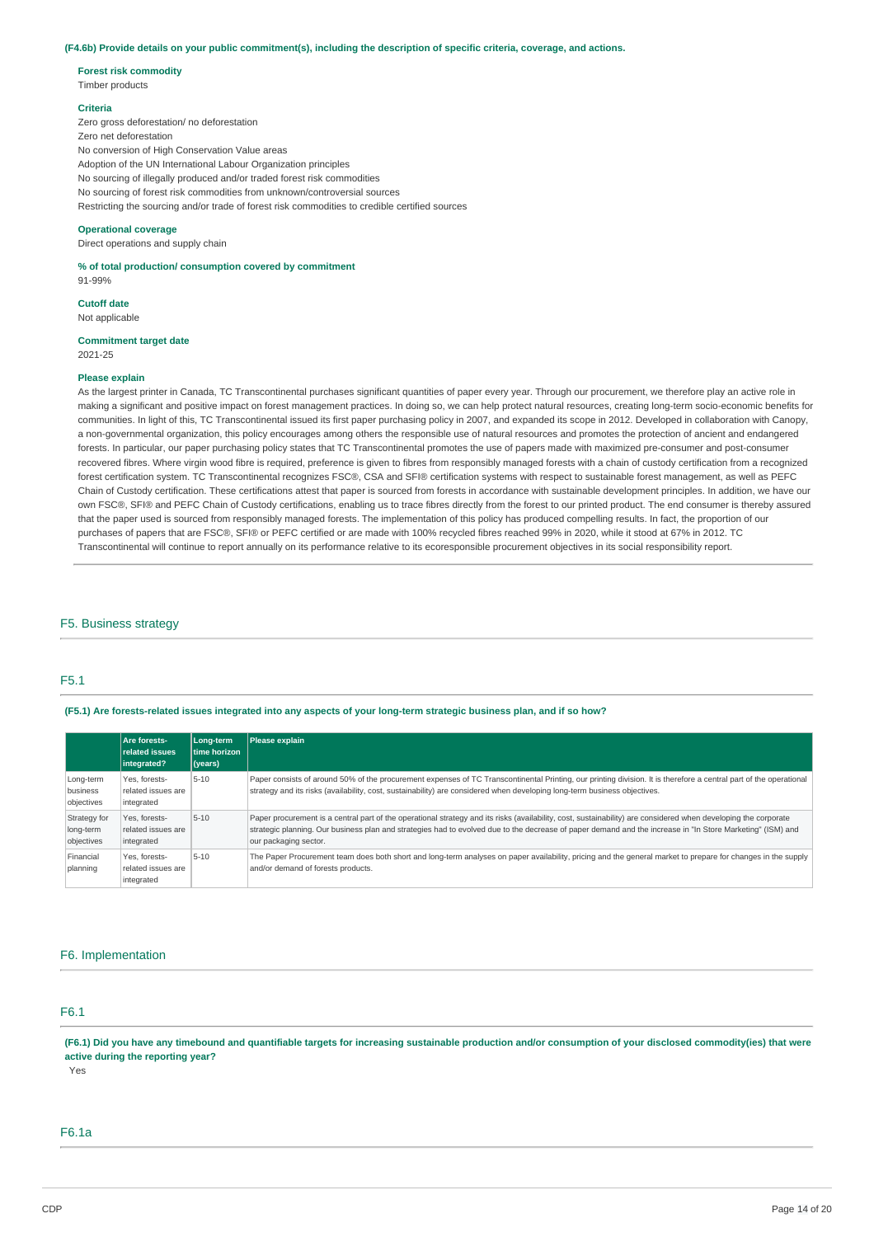### (F4.6b) Provide details on your public commitment(s), including the description of specific criteria, coverage, and actions.

### **Forest risk commodity**

Timber products

### **Criteria**

Zero gross deforestation/ no deforestation Zero net deforestation No conversion of High Conservation Value areas Adoption of the UN International Labour Organization principles No sourcing of illegally produced and/or traded forest risk commodities No sourcing of forest risk commodities from unknown/controversial sources Restricting the sourcing and/or trade of forest risk commodities to credible certified sources

### **Operational coverage**

Direct operations and supply chain

**% of total production/ consumption covered by commitment** 91-99%

## **Cutoff date**

Not applicable

#### **Commitment target date** 2021-25

### **Please explain**

As the largest printer in Canada, TC Transcontinental purchases significant quantities of paper every year. Through our procurement, we therefore play an active role in making a significant and positive impact on forest management practices. In doing so, we can help protect natural resources, creating long-term socio-economic benefits for communities. In light of this, TC Transcontinental issued its first paper purchasing policy in 2007, and expanded its scope in 2012. Developed in collaboration with Canopy, a non-governmental organization, this policy encourages among others the responsible use of natural resources and promotes the protection of ancient and endangered forests. In particular, our paper purchasing policy states that TC Transcontinental promotes the use of papers made with maximized pre-consumer and post-consumer recovered fibres. Where virgin wood fibre is required, preference is given to fibres from responsibly managed forests with a chain of custody certification from a recognized forest certification system. TC Transcontinental recognizes FSC®, CSA and SFI® certification systems with respect to sustainable forest management, as well as PEFC Chain of Custody certification. These certifications attest that paper is sourced from forests in accordance with sustainable development principles. In addition, we have our own FSC®, SFI® and PEFC Chain of Custody certifications, enabling us to trace fibres directly from the forest to our printed product. The end consumer is thereby assured that the paper used is sourced from responsibly managed forests. The implementation of this policy has produced compelling results. In fact, the proportion of our purchases of papers that are FSC®, SFI® or PEFC certified or are made with 100% recycled fibres reached 99% in 2020, while it stood at 67% in 2012. TC Transcontinental will continue to report annually on its performance relative to its ecoresponsible procurement objectives in its social responsibility report.

### F5. Business strategy

## F5.1

### (F5.1) Are forests-related issues integrated into any aspects of your long-term strategic business plan, and if so how?

|                                         | Are forests-<br>related issues<br>integrated?     | Long-term<br>time horizon<br>(years) | Please explain                                                                                                                                                                                                                                                                                                                                         |
|-----------------------------------------|---------------------------------------------------|--------------------------------------|--------------------------------------------------------------------------------------------------------------------------------------------------------------------------------------------------------------------------------------------------------------------------------------------------------------------------------------------------------|
| Long-term<br>business<br>objectives     | Yes. forests-<br>related issues are<br>integrated | $5 - 10$                             | Paper consists of around 50% of the procurement expenses of TC Transcontinental Printing, our printing division. It is therefore a central part of the operational<br>strategy and its risks (availability, cost, sustainability) are considered when developing long-term business objectives.                                                        |
| Strategy for<br>long-term<br>objectives | Yes. forests-<br>related issues are<br>integrated | $5 - 10$                             | Paper procurement is a central part of the operational strategy and its risks (availability, cost, sustainability) are considered when developing the corporate<br>strategic planning. Our business plan and strategies had to evolved due to the decrease of paper demand and the increase in "In Store Marketing" (ISM) and<br>our packaging sector. |
| Financial<br>planning                   | Yes. forests-<br>related issues are<br>integrated | $5 - 10$                             | The Paper Procurement team does both short and long-term analyses on paper availability, pricing and the general market to prepare for changes in the supply<br>and/or demand of forests products.                                                                                                                                                     |

## F6. Implementation

## F6.1

(F6.1) Did you have any timebound and quantifiable targets for increasing sustainable production and/or consumption of your disclosed commodity(ies) that were **active during the reporting year?**

Yes

## F6.1a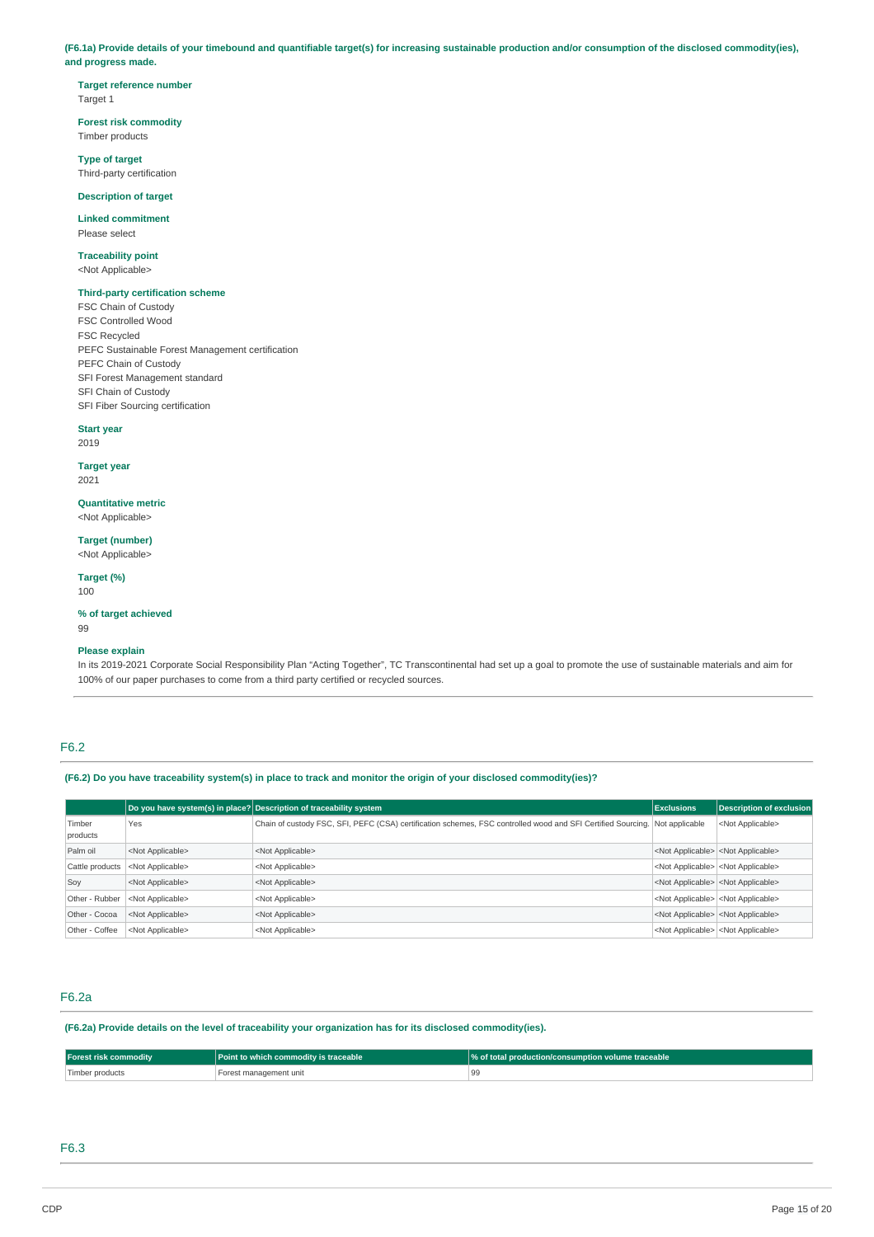(F6.1a) Provide details of your timebound and quantifiable target(s) for increasing sustainable production and/or consumption of the disclosed commodity(ies), **and progress made.**

**Target reference number** Target 1

**Forest risk commodity** Timber products

**Type of target** Third-party certification

**Description of target**

**Linked commitment** Please select

**Traceability point** <Not Applicable>

### **Third-party certification scheme**

FSC Chain of Custody FSC Controlled Wood FSC Recycled PEFC Sustainable Forest Management certification PEFC Chain of Custody SFI Forest Management standard SFI Chain of Custody SFI Fiber Sourcing certification

**Start year** 2019

**Target year**

2021

**Quantitative metric** <Not Applicable>

**Target (number)** <Not Applicable>

**Target (%)** 100

**% of target achieved**

99

## **Please explain**

In its 2019-2021 Corporate Social Responsibility Plan "Acting Together", TC Transcontinental had set up a goal to promote the use of sustainable materials and aim for 100% of our paper purchases to come from a third party certified or recycled sources.

## F6.2

(F6.2) Do you have traceability system(s) in place to track and monitor the origin of your disclosed commodity(ies)?

|                    |                           | Do you have system(s) in place? Description of traceability system                                                          | <b>Exclusions</b>                                   | <b>Description of exclusion</b>                     |
|--------------------|---------------------------|-----------------------------------------------------------------------------------------------------------------------------|-----------------------------------------------------|-----------------------------------------------------|
| Timber<br>products | Yes                       | Chain of custody FSC, SFI, PEFC (CSA) certification schemes, FSC controlled wood and SFI Certified Sourcing. Not applicable |                                                     | <not applicable=""></not>                           |
| Palm oil           | <not applicable=""></not> | <not applicable=""></not>                                                                                                   |                                                     | <not applicable=""> <not applicable=""></not></not> |
| Cattle products    | <not applicable=""></not> | <not applicable=""></not>                                                                                                   | <not applicable=""> <not applicable=""></not></not> |                                                     |
| Soy                | <not applicable=""></not> | <not applicable=""></not>                                                                                                   |                                                     | <not applicable=""> <not applicable=""></not></not> |
| Other - Rubber     | <not applicable=""></not> | <not applicable=""></not>                                                                                                   |                                                     | <not applicable=""> <not applicable=""></not></not> |
| Other - Cocoa      | <not applicable=""></not> | <not applicable=""></not>                                                                                                   |                                                     | <not applicable=""> <not applicable=""></not></not> |
| Other - Coffee     | <not applicable=""></not> | <not applicable=""></not>                                                                                                   |                                                     | <not applicable=""> <not applicable=""></not></not> |

## F6.2a

**(F6.2a) Provide details on the level of traceability your organization has for its disclosed commodity(ies).**

| <b>Forest risk commodity</b> | <b>Point to which commodity is traceable</b> | $\sqrt{\%}$ of total production/consumption volume traceable |
|------------------------------|----------------------------------------------|--------------------------------------------------------------|
| Timber products              | Forest management unit                       |                                                              |

## F6.3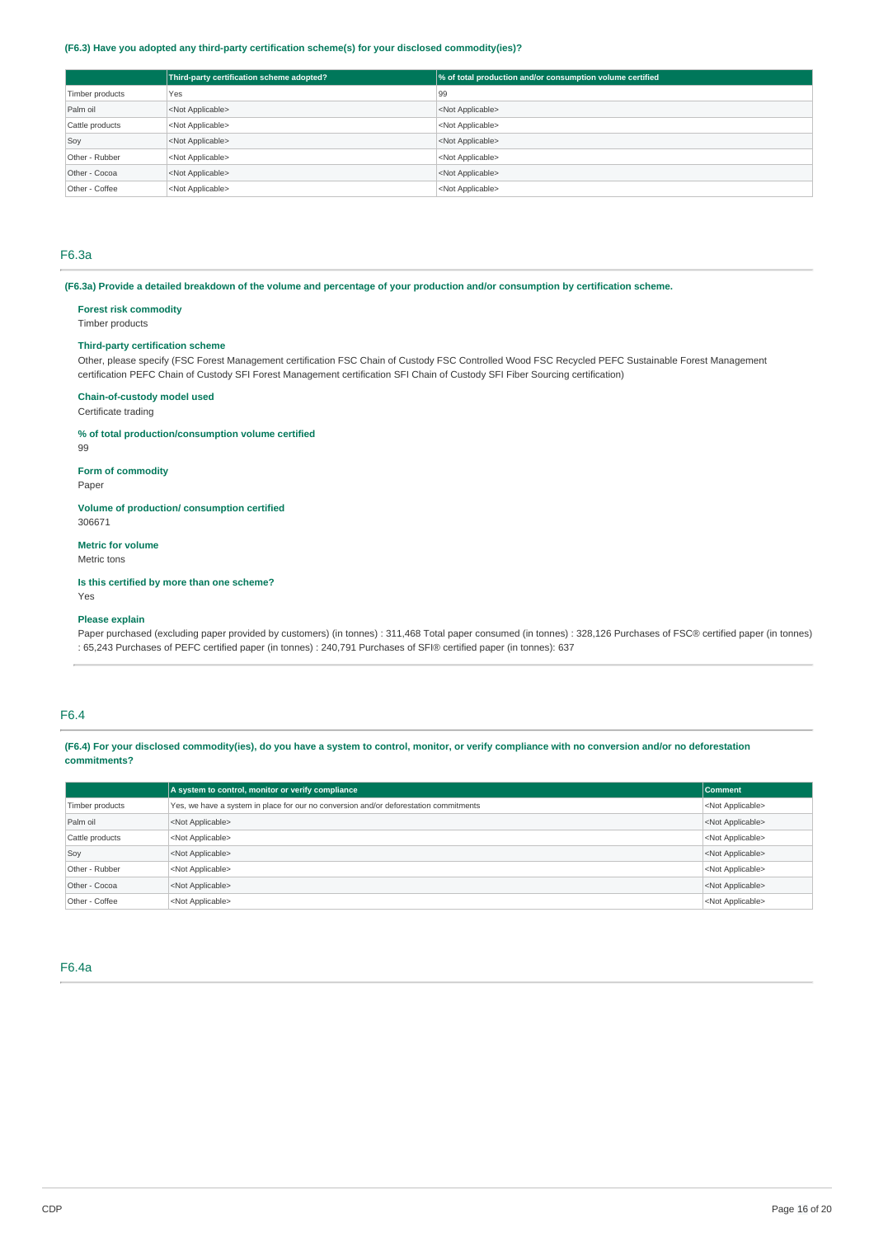## **(F6.3) Have you adopted any third-party certification scheme(s) for your disclosed commodity(ies)?**

|                 | Third-party certification scheme adopted? | % of total production and/or consumption volume certified |
|-----------------|-------------------------------------------|-----------------------------------------------------------|
| Timber products | Yes                                       | 99                                                        |
| Palm oil        | <not applicable=""></not>                 | <not applicable=""></not>                                 |
| Cattle products | <not applicable=""></not>                 | <not applicable=""></not>                                 |
| Soy             | <not applicable=""></not>                 | <not applicable=""></not>                                 |
| Other - Rubber  | <not applicable=""></not>                 | <not applicable=""></not>                                 |
| Other - Cocoa   | <not applicable=""></not>                 | <not applicable=""></not>                                 |
| Other - Coffee  | <not applicable=""></not>                 | <not applicable=""></not>                                 |

## F6.3a

(F6.3a) Provide a detailed breakdown of the volume and percentage of your production and/or consumption by certification scheme.

## **Forest risk commodity**

Timber products

## **Third-party certification scheme**

Other, please specify (FSC Forest Management certification FSC Chain of Custody FSC Controlled Wood FSC Recycled PEFC Sustainable Forest Management certification PEFC Chain of Custody SFI Forest Management certification SFI Chain of Custody SFI Fiber Sourcing certification)

### **Chain-of-custody model used**

## Certificate trading

### **% of total production/consumption volume certified**

99

**Form of commodity** Paper

### **Volume of production/ consumption certified** 306671

### **Metric for volume**

Metric tons

## **Is this certified by more than one scheme?**

Yes

## **Please explain**

Paper purchased (excluding paper provided by customers) (in tonnes) : 311,468 Total paper consumed (in tonnes) : 328,126 Purchases of FSC® certified paper (in tonnes) : 65,243 Purchases of PEFC certified paper (in tonnes) : 240,791 Purchases of SFI® certified paper (in tonnes): 637

## F6.4

### (F6.4) For your disclosed commodity(ies), do you have a system to control, monitor, or verify compliance with no conversion and/or no deforestation **commitments?**

|                 | A system to control, monitor or verify compliance                                                                  | <b>Comment</b>            |  |  |
|-----------------|--------------------------------------------------------------------------------------------------------------------|---------------------------|--|--|
| Timber products | Yes, we have a system in place for our no conversion and/or deforestation commitments<br><not applicable=""></not> |                           |  |  |
| Palm oil        | <not applicable=""><br/><not applicable=""></not></not>                                                            |                           |  |  |
| Cattle products | <not applicable=""></not>                                                                                          | <not applicable=""></not> |  |  |
| Soy             | <not applicable=""></not>                                                                                          | <not applicable=""></not> |  |  |
| Other - Rubber  | <not applicable=""></not>                                                                                          | <not applicable=""></not> |  |  |
| Other - Cocoa   | <not applicable=""></not>                                                                                          | <not applicable=""></not> |  |  |
| Other - Coffee  | <not applicable=""></not>                                                                                          | <not applicable=""></not> |  |  |

### F6.4a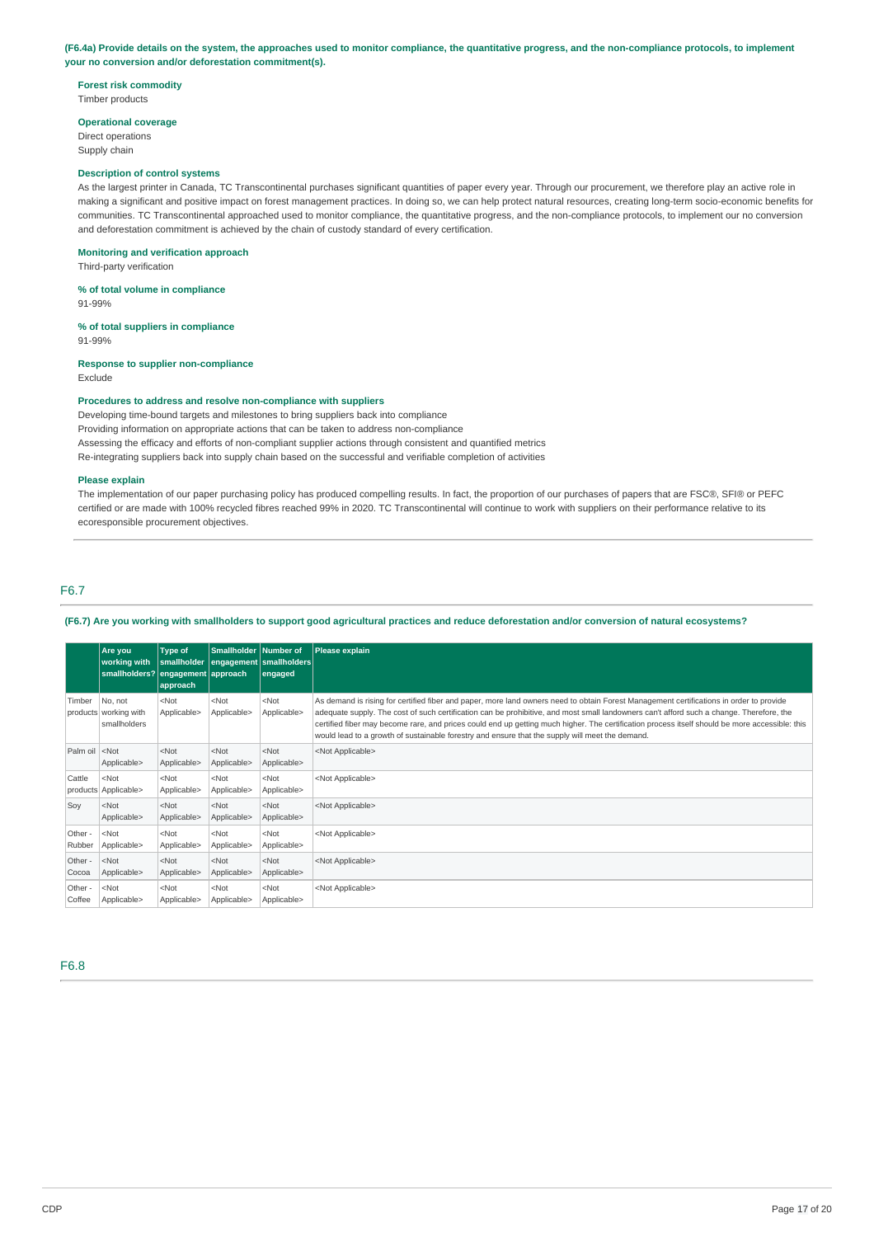### (F6.4a) Provide details on the system, the approaches used to monitor compliance, the quantitative progress, and the non-compliance protocols, to implement **your no conversion and/or deforestation commitment(s).**

## **Forest risk commodity**

Timber products

## **Operational coverage**

Direct operations Supply chain

### **Description of control systems**

As the largest printer in Canada, TC Transcontinental purchases significant quantities of paper every year. Through our procurement, we therefore play an active role in making a significant and positive impact on forest management practices. In doing so, we can help protect natural resources, creating long-term socio-economic benefits for communities. TC Transcontinental approached used to monitor compliance, the quantitative progress, and the non-compliance protocols, to implement our no conversion and deforestation commitment is achieved by the chain of custody standard of every certification.

### **Monitoring and verification approach**

Third-party verification

**% of total volume in compliance** 91-99%

**% of total suppliers in compliance** 91-99%

# **Response to supplier non-compliance**

Exclude

## **Procedures to address and resolve non-compliance with suppliers**

Developing time-bound targets and milestones to bring suppliers back into compliance Providing information on appropriate actions that can be taken to address non-compliance Assessing the efficacy and efforts of non-compliant supplier actions through consistent and quantified metrics Re-integrating suppliers back into supply chain based on the successful and verifiable completion of activities

### **Please explain**

The implementation of our paper purchasing policy has produced compelling results. In fact, the proportion of our purchases of papers that are FSC®, SFI® or PEFC certified or are made with 100% recycled fibres reached 99% in 2020. TC Transcontinental will continue to work with suppliers on their performance relative to its ecoresponsible procurement objectives.

## F6.7

(F6.7) Are you working with smallholders to support good agricultural practices and reduce deforestation and/or conversion of natural ecosystems?

|                                                                                                                                                                                                                                       | Are you<br>working with<br>smallholders? engagement approach | Type of<br>smallholder<br>approach | Smallholder Number of  | engagement   smallholders  <br>engaged | Please explain                                                                                                                                                                                                                                                                                                                                                                                                                                                                                                                           |
|---------------------------------------------------------------------------------------------------------------------------------------------------------------------------------------------------------------------------------------|--------------------------------------------------------------|------------------------------------|------------------------|----------------------------------------|------------------------------------------------------------------------------------------------------------------------------------------------------------------------------------------------------------------------------------------------------------------------------------------------------------------------------------------------------------------------------------------------------------------------------------------------------------------------------------------------------------------------------------------|
| Timber                                                                                                                                                                                                                                | No. not<br>products working with<br>smallholders             | $<$ Not<br>Applicable>             | $<$ Not<br>Applicable> | $<$ Not<br>Applicable>                 | As demand is rising for certified fiber and paper, more land owners need to obtain Forest Management certifications in order to provide<br>adequate supply. The cost of such certification can be prohibitive, and most small landowners can't afford such a change. Therefore, the<br>certified fiber may become rare, and prices could end up getting much higher. The certification process itself should be more accessible: this<br>would lead to a growth of sustainable forestry and ensure that the supply will meet the demand. |
| Palm oil <not< td=""><td>Applicable&gt;</td><td><math>&lt;</math>Not<br/>Applicable&gt;</td><td><math>&lt;</math>Not<br/>Applicable&gt;</td><td><math>&lt;</math>Not<br/>Applicable&gt;</td><td><not applicable=""></not></td></not<> | Applicable>                                                  | $<$ Not<br>Applicable>             | $<$ Not<br>Applicable> | $<$ Not<br>Applicable>                 | <not applicable=""></not>                                                                                                                                                                                                                                                                                                                                                                                                                                                                                                                |
| Cattle                                                                                                                                                                                                                                | $<$ Not<br>products Applicable>                              | $<$ Not<br>Applicable>             | $<$ Not<br>Applicable> | $<$ Not<br>Applicable>                 | <not applicable=""></not>                                                                                                                                                                                                                                                                                                                                                                                                                                                                                                                |
| Sov                                                                                                                                                                                                                                   | $<$ Not<br>Applicable>                                       | $<$ Not<br>Applicable>             | $<$ Not<br>Applicable> | $<$ Not<br>Applicable>                 | <not applicable=""></not>                                                                                                                                                                                                                                                                                                                                                                                                                                                                                                                |
| Other -<br>Rubber                                                                                                                                                                                                                     | $<$ Not<br>Applicable>                                       | $<$ Not<br>Applicable>             | $<$ Not<br>Applicable> | $<$ Not<br>Applicable>                 | <not applicable=""></not>                                                                                                                                                                                                                                                                                                                                                                                                                                                                                                                |
| Other -<br>Cocoa                                                                                                                                                                                                                      | $<$ Not<br>Applicable>                                       | $<$ Not<br>Applicable>             | $<$ Not<br>Applicable> | $<$ Not<br>Applicable>                 | <not applicable=""></not>                                                                                                                                                                                                                                                                                                                                                                                                                                                                                                                |
| Other -<br>Coffee                                                                                                                                                                                                                     | $<$ Not<br>Applicable>                                       | $<$ Not<br>Applicable>             | $<$ Not<br>Applicable> | $<$ Not<br>Applicable>                 | <not applicable=""></not>                                                                                                                                                                                                                                                                                                                                                                                                                                                                                                                |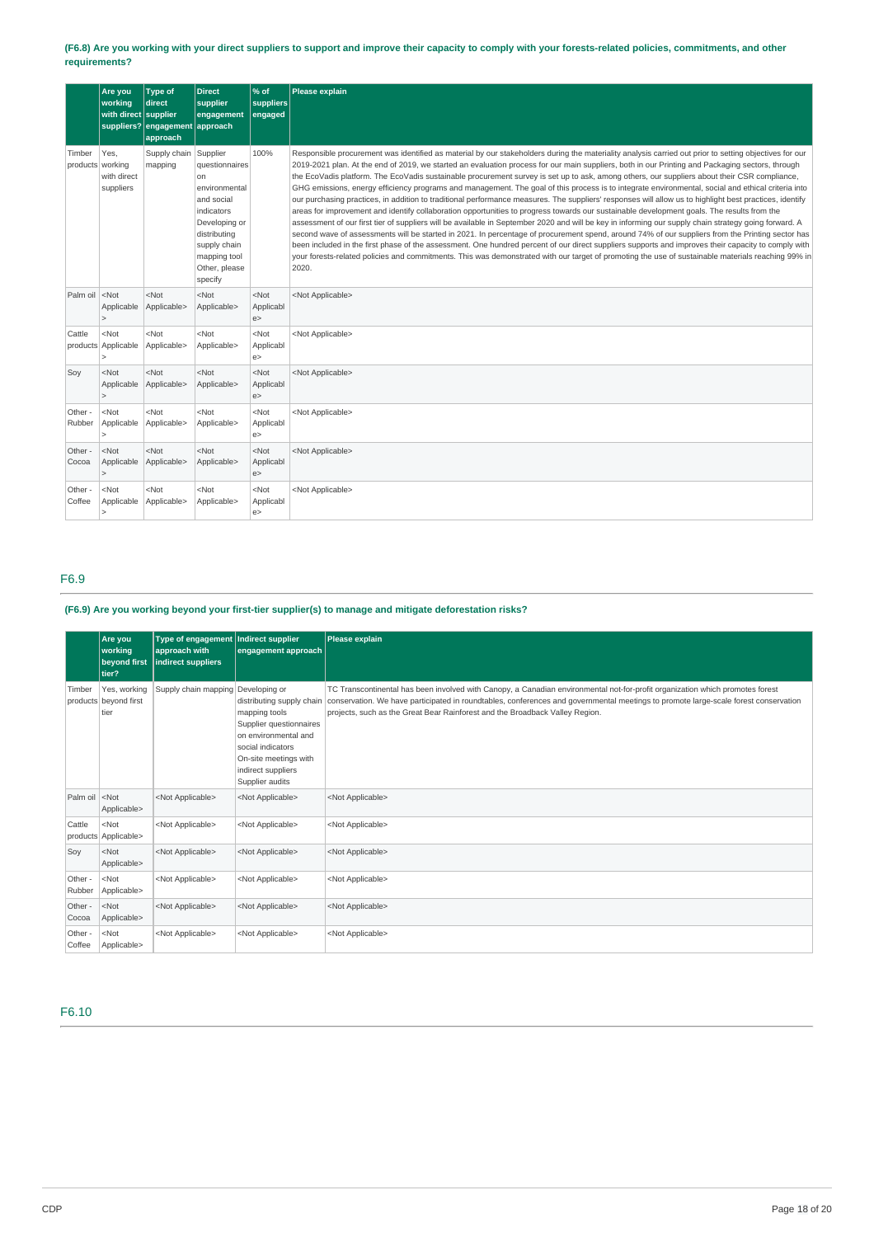## (F6.8) Are you working with your direct suppliers to support and improve their capacity to comply with your forests-related policies, commitments, and other **requirements?**

|                                                                                                                                                                                                                                             | Are you<br>working<br>with direct supplier | <b>Type of</b><br>direct<br>suppliers? engagement approach<br>approach | <b>Direct</b><br>supplier<br>engagement                                                                                                                                    | % of<br>suppliers<br>engaged | Please explain                                                                                                                                                                                                                                                                                                                                                                                                                                                                                                                                                                                                                                                                                                                                                                                                                                                                                                                                                                                                                                                                                                                                                                                                                                                                                                                                                                                                                                                                                                                                               |
|---------------------------------------------------------------------------------------------------------------------------------------------------------------------------------------------------------------------------------------------|--------------------------------------------|------------------------------------------------------------------------|----------------------------------------------------------------------------------------------------------------------------------------------------------------------------|------------------------------|--------------------------------------------------------------------------------------------------------------------------------------------------------------------------------------------------------------------------------------------------------------------------------------------------------------------------------------------------------------------------------------------------------------------------------------------------------------------------------------------------------------------------------------------------------------------------------------------------------------------------------------------------------------------------------------------------------------------------------------------------------------------------------------------------------------------------------------------------------------------------------------------------------------------------------------------------------------------------------------------------------------------------------------------------------------------------------------------------------------------------------------------------------------------------------------------------------------------------------------------------------------------------------------------------------------------------------------------------------------------------------------------------------------------------------------------------------------------------------------------------------------------------------------------------------------|
| Timber<br>products working                                                                                                                                                                                                                  | Yes,<br>with direct<br>suppliers           | Supply chain<br>mapping                                                | Supplier<br>questionnaires<br>on<br>environmental<br>and social<br>indicators<br>Developing or<br>distributing<br>supply chain<br>mapping tool<br>Other, please<br>specify | 100%                         | Responsible procurement was identified as material by our stakeholders during the materiality analysis carried out prior to setting objectives for our<br>2019-2021 plan. At the end of 2019, we started an evaluation process for our main suppliers, both in our Printing and Packaging sectors, through<br>the EcoVadis platform. The EcoVadis sustainable procurement survey is set up to ask, among others, our suppliers about their CSR compliance,<br>GHG emissions, energy efficiency programs and management. The goal of this process is to integrate environmental, social and ethical criteria into<br>our purchasing practices, in addition to traditional performance measures. The suppliers' responses will allow us to highlight best practices, identify<br>areas for improvement and identify collaboration opportunities to progress towards our sustainable development goals. The results from the<br>assessment of our first tier of suppliers will be available in September 2020 and will be key in informing our supply chain strategy going forward. A<br>second wave of assessments will be started in 2021. In percentage of procurement spend, around 74% of our suppliers from the Printing sector has<br>been included in the first phase of the assessment. One hundred percent of our direct suppliers supports and improves their capacity to comply with<br>your forests-related policies and commitments. This was demonstrated with our target of promoting the use of sustainable materials reaching 99% in<br>2020. |
| Palm oil <not< td=""><td>Applicable<br/>&gt;</td><td><math>&lt;</math>Not<br/>Applicable&gt;</td><td><math>&lt;</math>Not<br/>Applicable&gt;</td><td><math>&lt;</math>Not<br/>Applicabl<br/>e</td><td><not applicable=""></not></td></not<> | Applicable<br>>                            | $<$ Not<br>Applicable>                                                 | $<$ Not<br>Applicable>                                                                                                                                                     | $<$ Not<br>Applicabl<br>e    | <not applicable=""></not>                                                                                                                                                                                                                                                                                                                                                                                                                                                                                                                                                                                                                                                                                                                                                                                                                                                                                                                                                                                                                                                                                                                                                                                                                                                                                                                                                                                                                                                                                                                                    |
| Cattle                                                                                                                                                                                                                                      | $<$ Not<br>products Applicable             | $<$ Not<br>Applicable>                                                 | $<$ Not<br>Applicable>                                                                                                                                                     | $<$ Not<br>Applicabl<br>e    | <not applicable=""></not>                                                                                                                                                                                                                                                                                                                                                                                                                                                                                                                                                                                                                                                                                                                                                                                                                                                                                                                                                                                                                                                                                                                                                                                                                                                                                                                                                                                                                                                                                                                                    |
| Soy                                                                                                                                                                                                                                         | $<$ Not<br>Applicable                      | $<$ Not<br>Applicable>                                                 | $<$ Not<br>Applicable>                                                                                                                                                     | $<$ Not<br>Applicabl<br>e    | <not applicable=""></not>                                                                                                                                                                                                                                                                                                                                                                                                                                                                                                                                                                                                                                                                                                                                                                                                                                                                                                                                                                                                                                                                                                                                                                                                                                                                                                                                                                                                                                                                                                                                    |
| Other -<br>Rubber                                                                                                                                                                                                                           | $<$ Not<br>Applicable<br>>                 | $<$ Not<br>Applicable>                                                 | <not<br>Applicable&gt;</not<br>                                                                                                                                            | $<$ Not<br>Applicabl<br>e    | <not applicable=""></not>                                                                                                                                                                                                                                                                                                                                                                                                                                                                                                                                                                                                                                                                                                                                                                                                                                                                                                                                                                                                                                                                                                                                                                                                                                                                                                                                                                                                                                                                                                                                    |
| Other -<br>Cocoa                                                                                                                                                                                                                            | $<$ Not<br>Applicable                      | $<$ Not<br>Applicable>                                                 | $<$ Not<br>Applicable>                                                                                                                                                     | $<$ Not<br>Applicabl<br>e    | <not applicable=""></not>                                                                                                                                                                                                                                                                                                                                                                                                                                                                                                                                                                                                                                                                                                                                                                                                                                                                                                                                                                                                                                                                                                                                                                                                                                                                                                                                                                                                                                                                                                                                    |
| Other -<br>Coffee                                                                                                                                                                                                                           | $<$ Not<br>Applicable                      | $<$ Not<br>Applicable>                                                 | <not<br>Applicable&gt;</not<br>                                                                                                                                            | $<$ Not<br>Applicabl<br>e    | <not applicable=""></not>                                                                                                                                                                                                                                                                                                                                                                                                                                                                                                                                                                                                                                                                                                                                                                                                                                                                                                                                                                                                                                                                                                                                                                                                                                                                                                                                                                                                                                                                                                                                    |

## F6.9

## **(F6.9) Are you working beyond your first-tier supplier(s) to manage and mitigate deforestation risks?**

|                   | Are you<br>working<br>beyond first<br>tier?   | Type of engagement   Indirect supplier<br>approach with<br>indirect suppliers | engagement approach                                                                                                                                                                  | Please explain                                                                                                                                                                                                                                                                                                                                       |
|-------------------|-----------------------------------------------|-------------------------------------------------------------------------------|--------------------------------------------------------------------------------------------------------------------------------------------------------------------------------------|------------------------------------------------------------------------------------------------------------------------------------------------------------------------------------------------------------------------------------------------------------------------------------------------------------------------------------------------------|
| Timber            | Yes, working<br>products beyond first<br>tier | Supply chain mapping Developing or                                            | distributing supply chain<br>mapping tools<br>Supplier questionnaires<br>on environmental and<br>social indicators<br>On-site meetings with<br>indirect suppliers<br>Supplier audits | TC Transcontinental has been involved with Canopy, a Canadian environmental not-for-profit organization which promotes forest<br>conservation. We have participated in roundtables, conferences and governmental meetings to promote large-scale forest conservation<br>projects, such as the Great Bear Rainforest and the Broadback Valley Region. |
| Palm oil          | $ $ <not<br>Applicable&gt;</not<br>           | <not applicable=""></not>                                                     | <not applicable=""></not>                                                                                                                                                            | <not applicable=""></not>                                                                                                                                                                                                                                                                                                                            |
| Cattle            | $<$ Not<br>products   Applicable>             | <not applicable=""></not>                                                     | <not applicable=""></not>                                                                                                                                                            | <not applicable=""></not>                                                                                                                                                                                                                                                                                                                            |
| Soy               | $<$ Not<br>Applicable>                        | <not applicable=""></not>                                                     | <not applicable=""></not>                                                                                                                                                            | <not applicable=""></not>                                                                                                                                                                                                                                                                                                                            |
| Other -<br>Rubber | $<$ Not<br>Applicable>                        | <not applicable=""></not>                                                     | <not applicable=""></not>                                                                                                                                                            | <not applicable=""></not>                                                                                                                                                                                                                                                                                                                            |
| Other -<br>Cocoa  | $<$ Not<br>Applicable>                        | <not applicable=""></not>                                                     | <not applicable=""></not>                                                                                                                                                            | <not applicable=""></not>                                                                                                                                                                                                                                                                                                                            |
| Other -<br>Coffee | $<$ Not<br>Applicable>                        | <not applicable=""></not>                                                     | <not applicable=""></not>                                                                                                                                                            | <not applicable=""></not>                                                                                                                                                                                                                                                                                                                            |

F6.10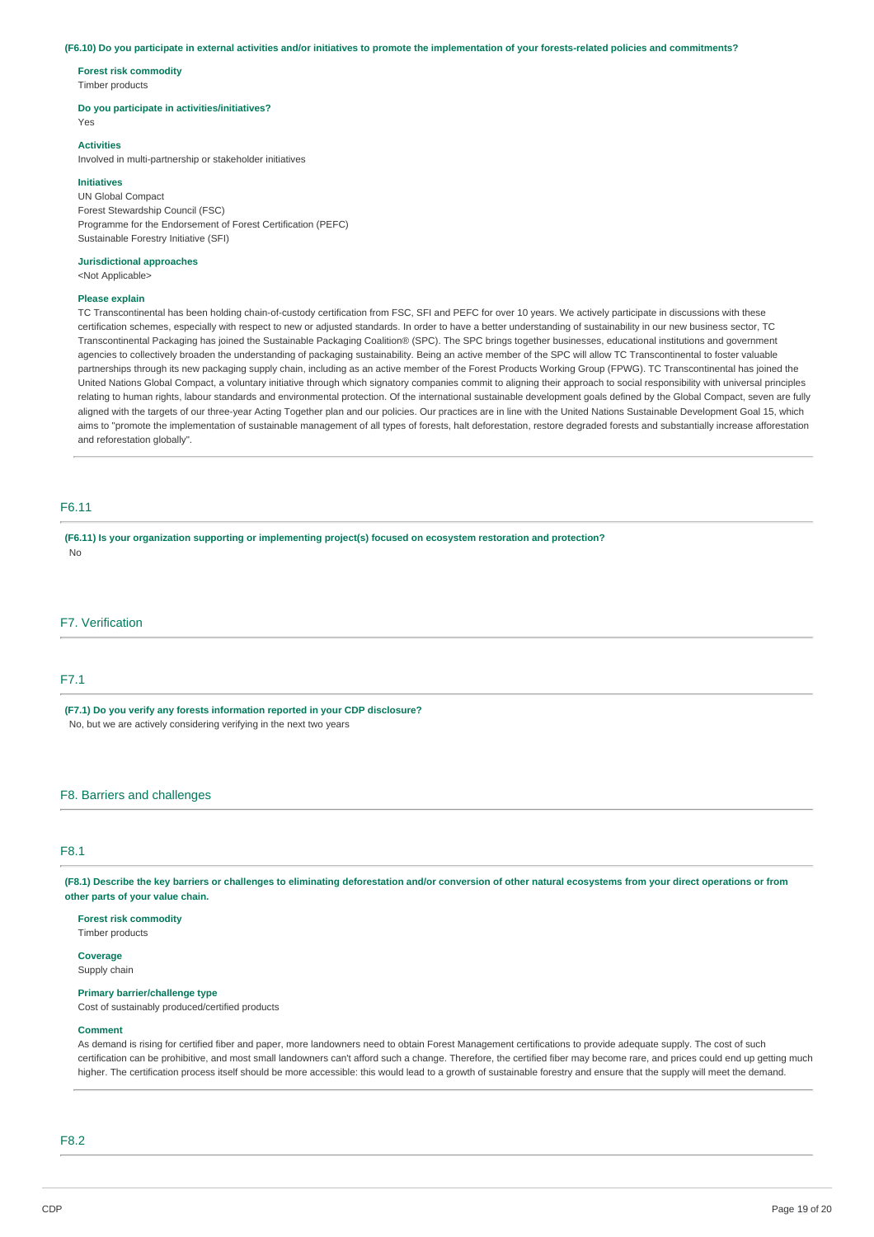### (F6.10) Do you participate in external activities and/or initiatives to promote the implementation of your forests-related policies and commitments?

**Forest risk commodity** Timber products

### **Do you participate in activities/initiatives?**

Yes

### **Activities**

Involved in multi-partnership or stakeholder initiatives

### **Initiatives**

UN Global Compact Forest Stewardship Council (FSC) Programme for the Endorsement of Forest Certification (PEFC) Sustainable Forestry Initiative (SFI)

## **Jurisdictional approaches**

<Not Applicable>

## **Please explain**

TC Transcontinental has been holding chain-of-custody certification from FSC, SFI and PEFC for over 10 years. We actively participate in discussions with these certification schemes, especially with respect to new or adjusted standards. In order to have a better understanding of sustainability in our new business sector, TC Transcontinental Packaging has joined the Sustainable Packaging Coalition® (SPC). The SPC brings together businesses, educational institutions and government agencies to collectively broaden the understanding of packaging sustainability. Being an active member of the SPC will allow TC Transcontinental to foster valuable partnerships through its new packaging supply chain, including as an active member of the Forest Products Working Group (FPWG). TC Transcontinental has joined the United Nations Global Compact, a voluntary initiative through which signatory companies commit to aligning their approach to social responsibility with universal principles relating to human rights, labour standards and environmental protection. Of the international sustainable development goals defined by the Global Compact, seven are fully aligned with the targets of our three-year Acting Together plan and our policies. Our practices are in line with the United Nations Sustainable Development Goal 15, which aims to "promote the implementation of sustainable management of all types of forests, halt deforestation, restore degraded forests and substantially increase afforestation and reforestation globally".

## F6.11

**(F6.11) Is your organization supporting or implementing project(s) focused on ecosystem restoration and protection?** No

## F7. Verification

## F7.1

**(F7.1) Do you verify any forests information reported in your CDP disclosure?** No, but we are actively considering verifying in the next two years

## F8. Barriers and challenges

### $E8.1$

(F8.1) Describe the key barriers or challenges to eliminating deforestation and/or conversion of other natural ecosystems from your direct operations or from **other parts of your value chain.**

### **Forest risk commodity**

Timber products

### **Coverage** Supply chain

### **Primary barrier/challenge type**

Cost of sustainably produced/certified products

### **Comment**

As demand is rising for certified fiber and paper, more landowners need to obtain Forest Management certifications to provide adequate supply. The cost of such certification can be prohibitive, and most small landowners can't afford such a change. Therefore, the certified fiber may become rare, and prices could end up getting much higher. The certification process itself should be more accessible: this would lead to a growth of sustainable forestry and ensure that the supply will meet the demand.